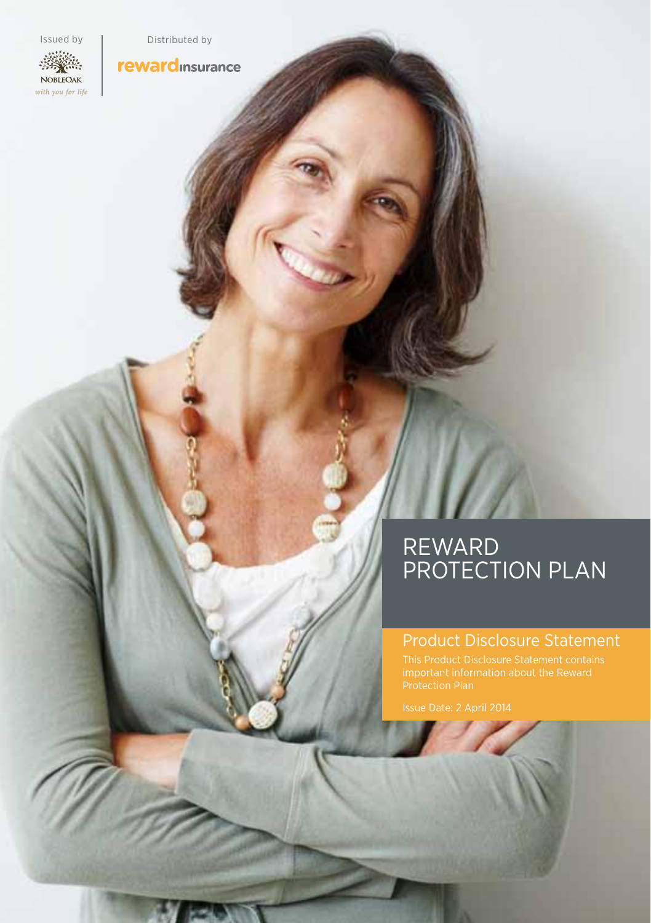NOBLEOAK with you for life

Issued by Distributed by

**reward** insurance

### REWARD PROTECTION PLAN

### Product Disclosure Statement

Issue Date: 2 April 2014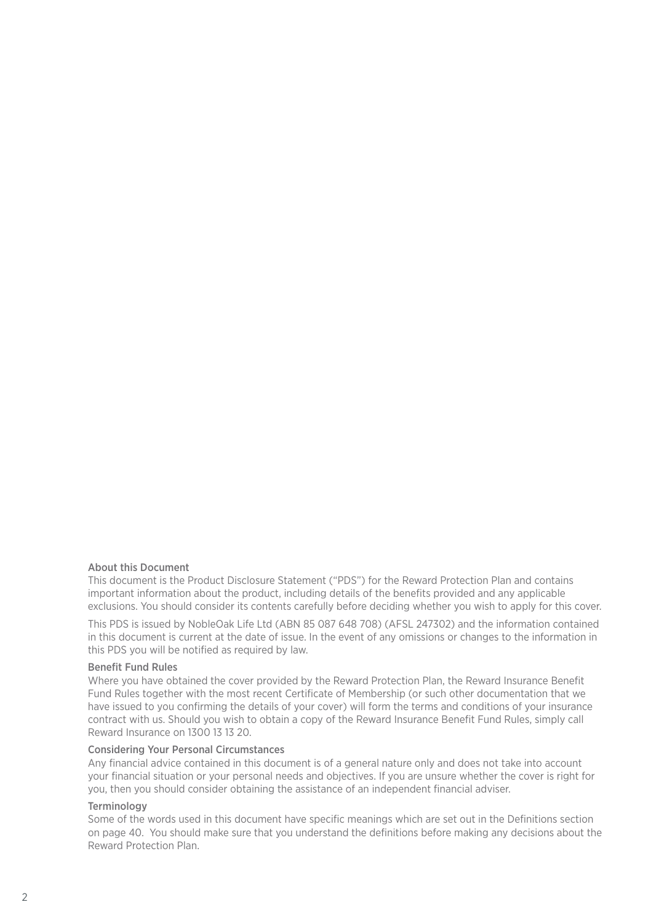#### About this Document

This document is the Product Disclosure Statement ("PDS") for the Reward Protection Plan and contains important information about the product, including details of the benefits provided and any applicable exclusions. You should consider its contents carefully before deciding whether you wish to apply for this cover.

This PDS is issued by NobleOak Life Ltd (ABN 85 087 648 708) (AFSL 247302) and the information contained in this document is current at the date of issue. In the event of any omissions or changes to the information in this PDS you will be notified as required by law.

#### Benefit Fund Rules

Where you have obtained the cover provided by the Reward Protection Plan, the Reward Insurance Benefit Fund Rules together with the most recent Certificate of Membership (or such other documentation that we have issued to you confirming the details of your cover) will form the terms and conditions of your insurance contract with us. Should you wish to obtain a copy of the Reward Insurance Benefit Fund Rules, simply call Reward Insurance on 1300 13 13 20.

#### Considering Your Personal Circumstances

Any financial advice contained in this document is of a general nature only and does not take into account your financial situation or your personal needs and objectives. If you are unsure whether the cover is right for you, then you should consider obtaining the assistance of an independent financial adviser.

#### **Terminology**

Some of the words used in this document have specific meanings which are set out in the Definitions section on page 40. You should make sure that you understand the definitions before making any decisions about the Reward Protection Plan.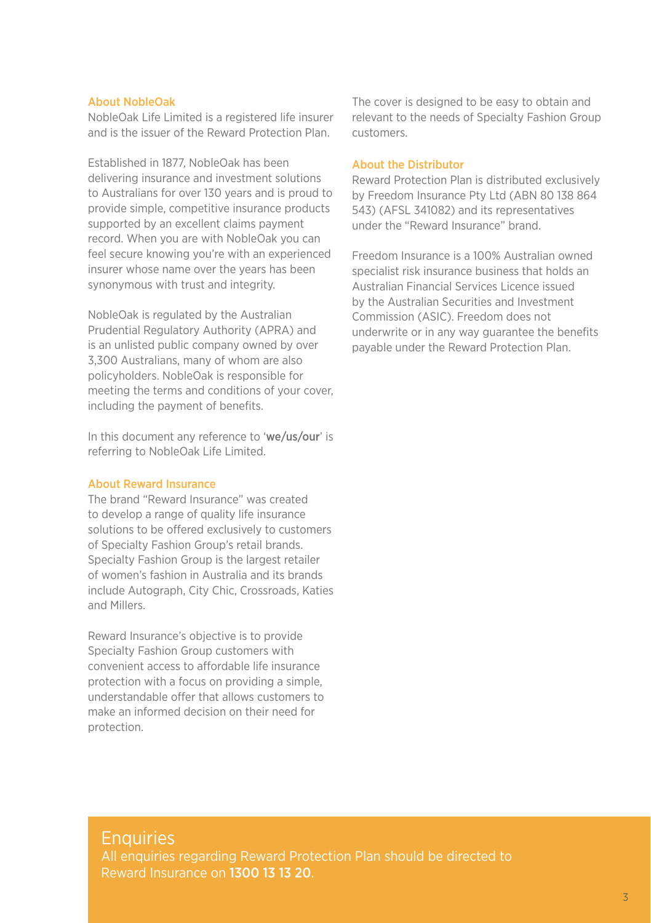#### About NobleOak

NobleOak Life Limited is a registered life insurer and is the issuer of the Reward Protection Plan.

Established in 1877, NobleOak has been delivering insurance and investment solutions to Australians for over 130 years and is proud to provide simple, competitive insurance products supported by an excellent claims payment record. When you are with NobleOak you can feel secure knowing you're with an experienced insurer whose name over the years has been synonymous with trust and integrity.

NobleOak is regulated by the Australian Prudential Regulatory Authority (APRA) and is an unlisted public company owned by over 3,300 Australians, many of whom are also policyholders. NobleOak is responsible for meeting the terms and conditions of your cover, including the payment of benefits.

In this document any reference to 'we/us/our' is referring to NobleOak Life Limited.

#### About Reward Insurance

The brand "Reward Insurance" was created to develop a range of quality life insurance solutions to be offered exclusively to customers of Specialty Fashion Group's retail brands. Specialty Fashion Group is the largest retailer of women's fashion in Australia and its brands include Autograph, City Chic, Crossroads, Katies and Millers.

Reward Insurance's objective is to provide Specialty Fashion Group customers with convenient access to affordable life insurance protection with a focus on providing a simple, understandable offer that allows customers to make an informed decision on their need for protection.

The cover is designed to be easy to obtain and relevant to the needs of Specialty Fashion Group customers.

#### About the Distributor

Reward Protection Plan is distributed exclusively by Freedom Insurance Pty Ltd (ABN 80 138 864 543) (AFSL 341082) and its representatives under the "Reward Insurance" brand.

Freedom Insurance is a 100% Australian owned specialist risk insurance business that holds an Australian Financial Services Licence issued by the Australian Securities and Investment Commission (ASIC). Freedom does not underwrite or in any way guarantee the benefits payable under the Reward Protection Plan.

### **Enquiries**

All enquiries regarding Reward Protection Plan should be directed to Reward Insurance on 1300 13 13 20.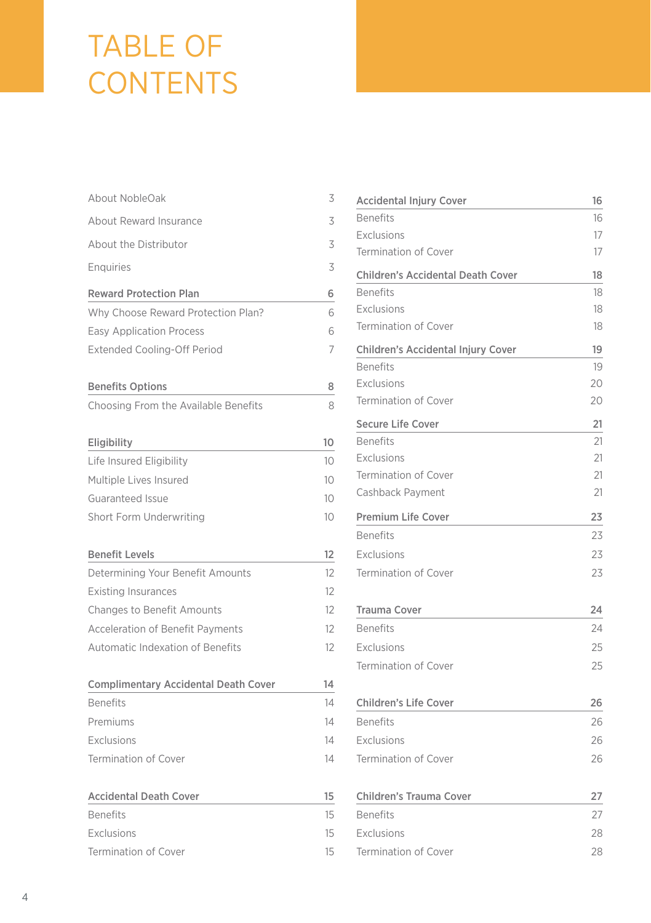### TABLE OF **CONTENTS**

| About NobleOak                              | 3  |
|---------------------------------------------|----|
| About Reward Insurance                      | 3  |
| About the Distributor                       | 3  |
| Enguiries                                   | 3  |
| <b>Reward Protection Plan</b>               | 6  |
| Why Choose Reward Protection Plan?          | 6  |
| <b>Easy Application Process</b>             | 6  |
| <b>Extended Cooling-Off Period</b>          | 7  |
| <b>Benefits Options</b>                     | 8  |
| Choosing From the Available Benefits        | 8  |
| Eligibility                                 | 10 |
| Life Insured Eligibility                    | 10 |
| Multiple Lives Insured                      | 10 |
| Guaranteed Issue                            | 10 |
| Short Form Underwriting                     | 10 |
| <b>Benefit Levels</b>                       | 12 |
| Determining Your Benefit Amounts            | 12 |
| <b>Existing Insurances</b>                  | 12 |
| <b>Changes to Benefit Amounts</b>           | 12 |
| <b>Acceleration of Benefit Payments</b>     | 12 |
| <b>Automatic Indexation of Benefits</b>     | 12 |
| <b>Complimentary Accidental Death Cover</b> | 14 |
| <b>Benefits</b>                             | 14 |
| Premiums                                    | 14 |
| Exclusions                                  | 14 |
| <b>Termination of Cover</b>                 | 14 |
| <b>Accidental Death Cover</b>               | 15 |
| <b>Benefits</b>                             | 15 |
| Exclusions                                  | 15 |
| <b>Termination of Cover</b>                 | 15 |

| <b>Accidental Injury Cover</b>           | 16 |
|------------------------------------------|----|
| <b>Benefits</b>                          | 16 |
| Exclusions                               | 17 |
| <b>Termination of Cover</b>              | 17 |
| <b>Children's Accidental Death Cover</b> | 18 |
| <b>Benefits</b>                          | 18 |
| Exclusions                               | 18 |
| <b>Termination of Cover</b>              | 18 |
| Children's Accidental Injury Cover       | 19 |
| <b>Benefits</b>                          | 19 |
| Exclusions                               | 20 |
| <b>Termination of Cover</b>              | 20 |
| <b>Secure Life Cover</b>                 | 21 |
| <b>Benefits</b>                          | 21 |
| Exclusions                               | 21 |
| <b>Termination of Cover</b>              | 21 |
| Cashback Payment                         | 21 |
| <b>Premium Life Cover</b>                | 23 |
| <b>Benefits</b>                          | 23 |
| Exclusions                               | 23 |
| <b>Termination of Cover</b>              | 23 |
| <b>Trauma Cover</b>                      | 24 |
| <b>Benefits</b>                          | 24 |
| Exclusions                               | 25 |
| <b>Termination of Cover</b>              | 25 |
| <b>Children's Life Cover</b>             | 26 |
| <b>Benefits</b>                          | 26 |
| Exclusions                               | 26 |
| <b>Termination of Cover</b>              | 26 |
| Children's Trauma Cover                  | 27 |
| <b>Benefits</b>                          | 27 |
| Exclusions                               | 28 |
| Termination of Cover                     | 28 |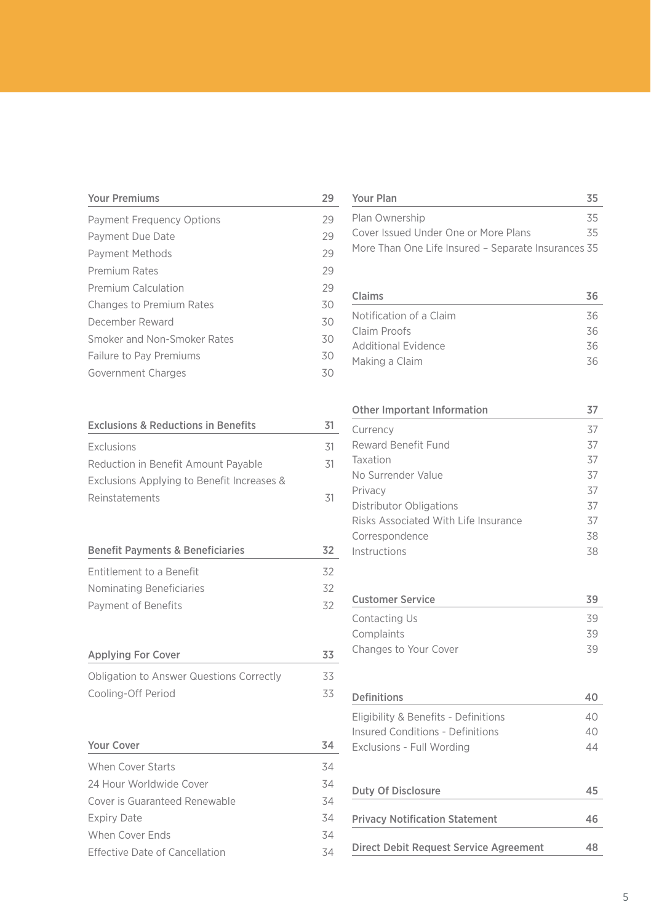| <b>Your Premiums</b>            |    |
|---------------------------------|----|
| Payment Frequency Options       | 29 |
| Payment Due Date                | 29 |
| <b>Payment Methods</b>          | 29 |
| Premium Rates                   | 29 |
| <b>Premium Calculation</b>      | 29 |
| <b>Changes to Premium Rates</b> | 30 |
| December Reward                 | 30 |
| Smoker and Non-Smoker Rates     | 30 |
| <b>Failure to Pay Premiums</b>  | 30 |
| Government Charges              | 30 |

| <b>Exclusions &amp; Reductions in Benefits</b>  | 31 |
|-------------------------------------------------|----|
| Exclusions                                      | 31 |
| Reduction in Benefit Amount Payable             | 31 |
| Exclusions Applying to Benefit Increases &      |    |
| Reinstatements                                  | 31 |
|                                                 |    |
|                                                 |    |
| <b>Benefit Payments &amp; Beneficiaries</b>     | 32 |
| Entitlement to a Benefit                        | 32 |
| Nominating Beneficiaries                        | 32 |
| Payment of Benefits                             | 32 |
|                                                 |    |
|                                                 |    |
| <b>Applying For Cover</b>                       | 33 |
| <b>Obligation to Answer Questions Correctly</b> | 33 |
| Cooling-Off Period                              | 33 |
|                                                 |    |
|                                                 |    |
| Your Cover                                      | 34 |
| <b>When Cover Starts</b>                        | 34 |
| 24 Hour Worldwide Cover                         | 34 |
| Cover is Guaranteed Renewable                   | 34 |
| <b>Expiry Date</b>                              | 34 |
| When Cover Ends                                 | 34 |
| <b>Effective Date of Cancellation</b>           | 34 |

| Your Plan                                           | 35 |
|-----------------------------------------------------|----|
| Plan Ownership                                      | 35 |
| Cover Issued Under One or More Plans                | 35 |
| More Than One Life Insured - Separate Insurances 35 |    |
|                                                     |    |
| Claims                                              | 36 |
| Notification of a Claim                             | 36 |
| Claim Proofs                                        | 36 |
| <b>Additional Evidence</b>                          | 36 |
| Making a Claim                                      | 36 |

| Other Important Information          | 37 |
|--------------------------------------|----|
| Currency                             | 37 |
| Reward Benefit Fund                  | 37 |
| Taxation                             | 37 |
| No Surrender Value                   | 37 |
| Privacy                              | 37 |
| Distributor Obligations              | 37 |
| Risks Associated With Life Insurance | 37 |
| Correspondence                       | 38 |
| Instructions                         | 38 |
| <b>Customer Service</b>              | 39 |
| Contacting Us                        | 39 |
| Complaints                           | 39 |
| Changes to Your Cover                | 39 |

| Definitions                            |                |
|----------------------------------------|----------------|
| Eligibility & Benefits - Definitions   | 40             |
| Insured Conditions - Definitions       | 40             |
| Exclusions - Full Wording              | $\Delta\Delta$ |
| Duty Of Disclosure                     | 45             |
| <b>Privacy Notification Statement</b>  | 46             |
| Direct Debit Request Service Agreement | 48             |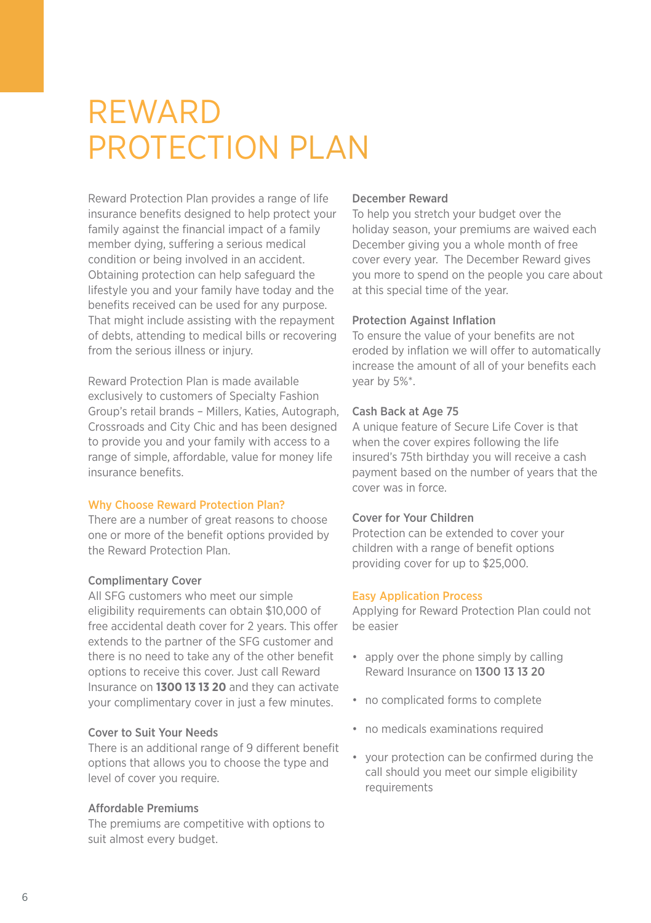### **REWARD** PROTECTION PLAN

Reward Protection Plan provides a range of life insurance benefits designed to help protect your family against the financial impact of a family member dying, suffering a serious medical condition or being involved in an accident. Obtaining protection can help safeguard the lifestyle you and your family have today and the benefits received can be used for any purpose. That might include assisting with the repayment of debts, attending to medical bills or recovering from the serious illness or injury.

Reward Protection Plan is made available exclusively to customers of Specialty Fashion Group's retail brands – Millers, Katies, Autograph, Crossroads and City Chic and has been designed to provide you and your family with access to a range of simple, affordable, value for money life insurance benefits.

#### Why Choose Reward Protection Plan?

There are a number of great reasons to choose one or more of the benefit options provided by the Reward Protection Plan.

#### Complimentary Cover

All SFG customers who meet our simple eligibility requirements can obtain \$10,000 of free accidental death cover for 2 years. This offer extends to the partner of the SFG customer and there is no need to take any of the other benefit options to receive this cover. Just call Reward Insurance on **1300 13 13 20** and they can activate your complimentary cover in just a few minutes.

#### Cover to Suit Your Needs

There is an additional range of 9 different benefit options that allows you to choose the type and level of cover you require.

#### Affordable Premiums

The premiums are competitive with options to suit almost every budget.

#### December Reward

To help you stretch your budget over the holiday season, your premiums are waived each December giving you a whole month of free cover every year. The December Reward gives you more to spend on the people you care about at this special time of the year.

#### Protection Against Inflation

To ensure the value of your benefits are not eroded by inflation we will offer to automatically increase the amount of all of your benefits each year by 5%\*.

#### Cash Back at Age 75

A unique feature of Secure Life Cover is that when the cover expires following the life insured's 75th birthday you will receive a cash payment based on the number of years that the cover was in force.

#### Cover for Your Children

Protection can be extended to cover your children with a range of benefit options providing cover for up to \$25,000.

#### Easy Application Process

Applying for Reward Protection Plan could not be easier

- apply over the phone simply by calling Reward Insurance on 1300 13 13 20
- no complicated forms to complete
- no medicals examinations required
- your protection can be confirmed during the call should you meet our simple eligibility requirements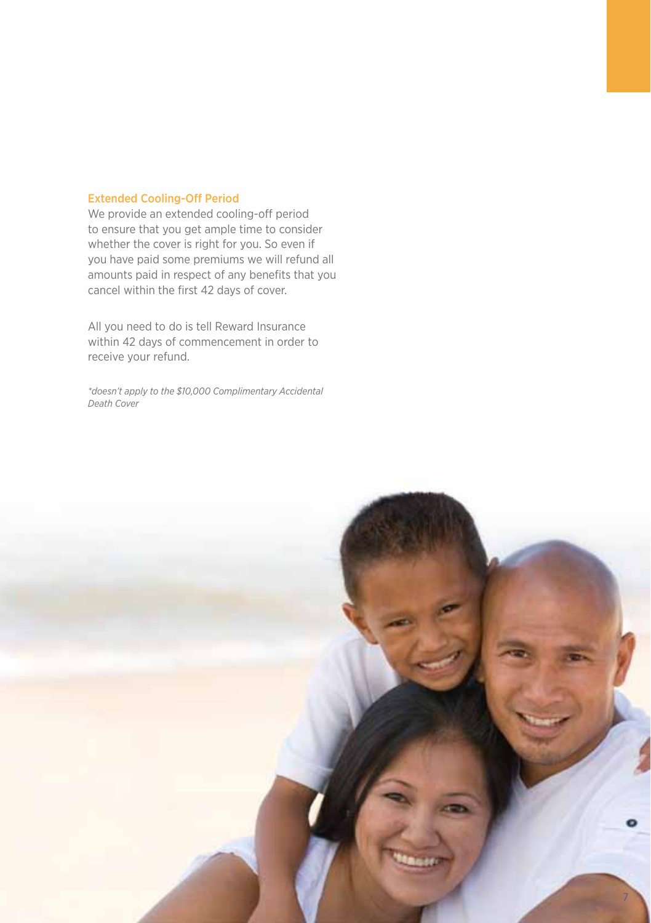#### Extended Cooling-Off Period

We provide an extended cooling-off period to ensure that you get ample time to consider whether the cover is right for you. So even if you have paid some premiums we will refund all amounts paid in respect of any benefits that you cancel within the first 42 days of cover.

All you need to do is tell Reward Insurance within 42 days of commencement in order to receive your refund.

*\*doesn't apply to the \$10,000 Complimentary Accidental Death Cover*

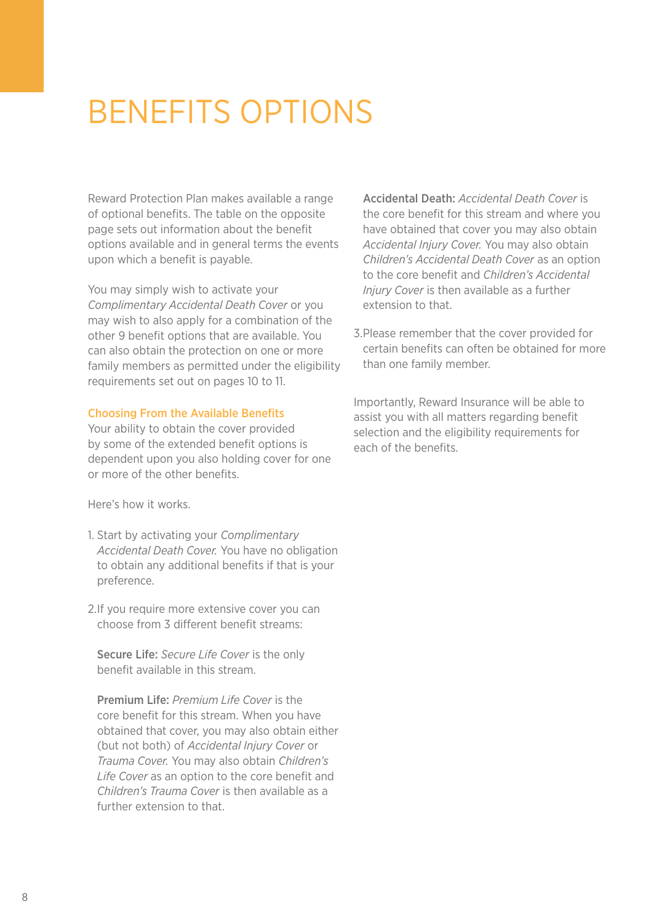### Benefits Options

Reward Protection Plan makes available a range of optional benefits. The table on the opposite page sets out information about the benefit options available and in general terms the events upon which a benefit is payable.

You may simply wish to activate your *Complimentary Accidental Death Cover* or you may wish to also apply for a combination of the other 9 benefit options that are available. You can also obtain the protection on one or more family members as permitted under the eligibility requirements set out on pages 10 to 11.

#### Choosing From the Available Benefits

Your ability to obtain the cover provided by some of the extended benefit options is dependent upon you also holding cover for one or more of the other benefits.

Here's how it works.

- 1. Start by activating your *Complimentary Accidental Death Cover.* You have no obligation to obtain any additional benefits if that is your preference.
- 2. If you require more extensive cover you can choose from 3 different benefit streams:

Secure Life: *Secure Life Cover* is the only benefit available in this stream.

Premium Life: *Premium Life Cover* is the core benefit for this stream. When you have obtained that cover, you may also obtain either (but not both) of *Accidental Injury Cover* or *Trauma Cover.* You may also obtain *Children's Life Cover* as an option to the core benefit and *Children's Trauma Cover* is then available as a further extension to that.

Accidental Death: *Accidental Death Cover* is the core benefit for this stream and where you have obtained that cover you may also obtain *Accidental Injury Cover.* You may also obtain *Children's Accidental Death Cover* as an option to the core benefit and *Children's Accidental Injury Cover* is then available as a further extension to that.

3.Please remember that the cover provided for certain benefits can often be obtained for more than one family member.

Importantly, Reward Insurance will be able to assist you with all matters regarding benefit selection and the eligibility requirements for each of the benefits.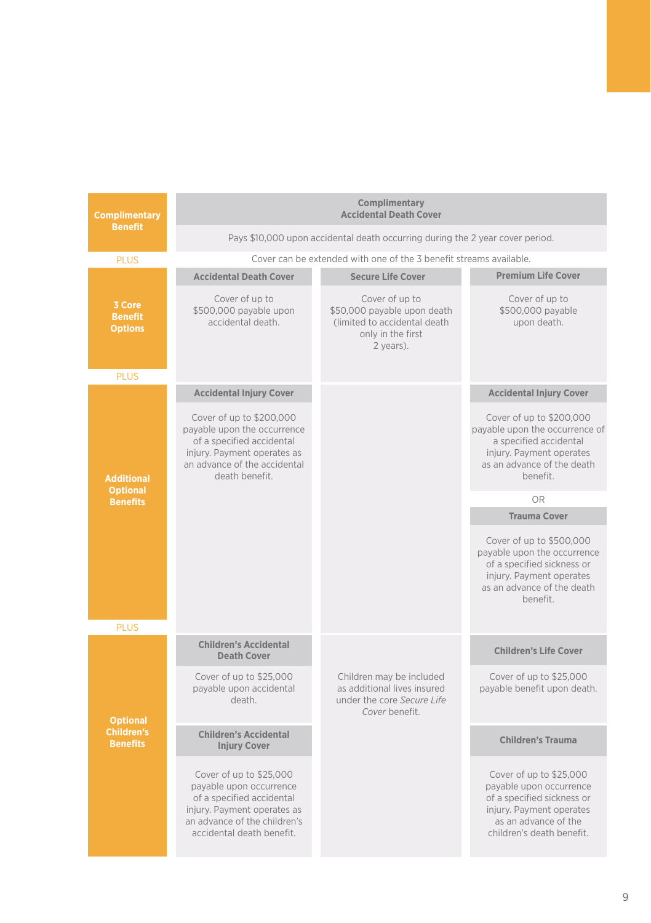| <b>Complimentary</b>                                    | Complimentary<br><b>Accidental Death Cover</b>                                                                                                                                                          |                                                                                                                  |                                                                                                                                                                                              |  |
|---------------------------------------------------------|---------------------------------------------------------------------------------------------------------------------------------------------------------------------------------------------------------|------------------------------------------------------------------------------------------------------------------|----------------------------------------------------------------------------------------------------------------------------------------------------------------------------------------------|--|
| <b>Benefit</b>                                          | Pays \$10,000 upon accidental death occurring during the 2 year cover period.                                                                                                                           |                                                                                                                  |                                                                                                                                                                                              |  |
| <b>PLUS</b>                                             |                                                                                                                                                                                                         | Cover can be extended with one of the 3 benefit streams available.                                               |                                                                                                                                                                                              |  |
|                                                         | <b>Accidental Death Cover</b>                                                                                                                                                                           | <b>Secure Life Cover</b>                                                                                         | <b>Premium Life Cover</b>                                                                                                                                                                    |  |
| 3 Core<br><b>Benefit</b><br><b>Options</b>              | Cover of up to<br>\$500,000 payable upon<br>accidental death.                                                                                                                                           | Cover of up to<br>\$50,000 payable upon death<br>(limited to accidental death)<br>only in the first<br>2 years). | Cover of up to<br>\$500,000 payable<br>upon death.                                                                                                                                           |  |
| <b>PLUS</b>                                             |                                                                                                                                                                                                         |                                                                                                                  |                                                                                                                                                                                              |  |
| <b>Additional</b><br><b>Optional</b>                    | <b>Accidental Injury Cover</b><br>Cover of up to \$200,000<br>payable upon the occurrence<br>of a specified accidental<br>injury. Payment operates as<br>an advance of the accidental<br>death benefit. |                                                                                                                  | <b>Accidental Injury Cover</b><br>Cover of up to \$200,000<br>payable upon the occurrence of<br>a specified accidental<br>injury. Payment operates<br>as an advance of the death<br>benefit. |  |
| <b>Benefits</b>                                         |                                                                                                                                                                                                         |                                                                                                                  | OR                                                                                                                                                                                           |  |
|                                                         |                                                                                                                                                                                                         |                                                                                                                  | <b>Trauma Cover</b>                                                                                                                                                                          |  |
|                                                         |                                                                                                                                                                                                         |                                                                                                                  | Cover of up to \$500,000<br>payable upon the occurrence<br>of a specified sickness or<br>injury. Payment operates<br>as an advance of the death<br>benefit.                                  |  |
| <b>PLUS</b>                                             |                                                                                                                                                                                                         |                                                                                                                  |                                                                                                                                                                                              |  |
|                                                         | <b>Children's Accidental</b><br><b>Death Cover</b>                                                                                                                                                      |                                                                                                                  | <b>Children's Life Cover</b>                                                                                                                                                                 |  |
| <b>Optional</b><br><b>Children's</b><br><b>Benefits</b> | Cover of up to \$25,000<br>pavable upon accidental<br>death.                                                                                                                                            | Children may be included<br>as additional lives insured<br>under the core Secure Life<br>Cover benefit.          | Cover of up to \$25,000<br>payable benefit upon death.                                                                                                                                       |  |
|                                                         | <b>Children's Accidental</b><br><b>Injury Cover</b>                                                                                                                                                     |                                                                                                                  | <b>Children's Trauma</b>                                                                                                                                                                     |  |
|                                                         | Cover of up to \$25,000<br>pavable upon occurrence<br>of a specified accidental<br>injury. Payment operates as<br>an advance of the children's<br>accidental death benefit.                             |                                                                                                                  | Cover of up to \$25,000<br>payable upon occurrence<br>of a specified sickness or<br>injury. Payment operates<br>as an advance of the<br>children's death benefit.                            |  |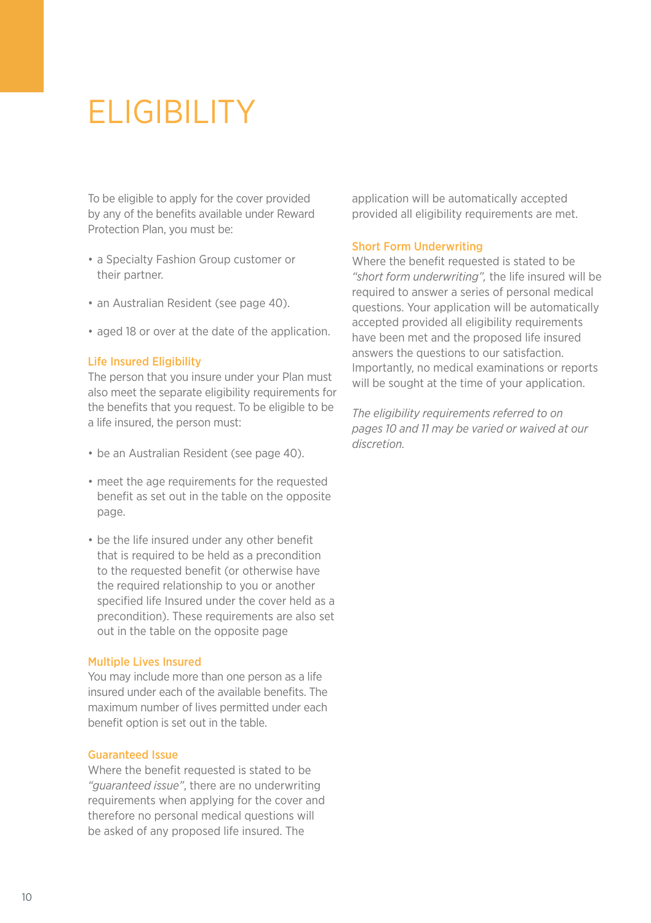# **ELIGIBILITY**

To be eligible to apply for the cover provided by any of the benefits available under Reward Protection Plan, you must be:

- a Specialty Fashion Group customer or their partner.
- an Australian Resident (see page 40).
- aged 18 or over at the date of the application.

#### Life Insured Eligibility

The person that you insure under your Plan must also meet the separate eligibility requirements for the benefits that you request. To be eligible to be a life insured, the person must:

- be an Australian Resident (see page 40).
- meet the age requirements for the requested benefit as set out in the table on the opposite page.
- be the life insured under any other benefit that is required to be held as a precondition to the requested benefit (or otherwise have the required relationship to you or another specified life Insured under the cover held as a precondition). These requirements are also set out in the table on the opposite page

#### Multiple Lives Insured

You may include more than one person as a life insured under each of the available benefits. The maximum number of lives permitted under each benefit option is set out in the table.

#### Guaranteed Issue

Where the benefit requested is stated to be *"guaranteed issue"*, there are no underwriting requirements when applying for the cover and therefore no personal medical questions will be asked of any proposed life insured. The

application will be automatically accepted provided all eligibility requirements are met.

#### Short Form Underwriting

Where the benefit requested is stated to be *"short form underwriting",* the life insured will be required to answer a series of personal medical questions. Your application will be automatically accepted provided all eligibility requirements have been met and the proposed life insured answers the questions to our satisfaction. Importantly, no medical examinations or reports will be sought at the time of your application.

*The eligibility requirements referred to on pages 10 and 11 may be varied or waived at our discretion.*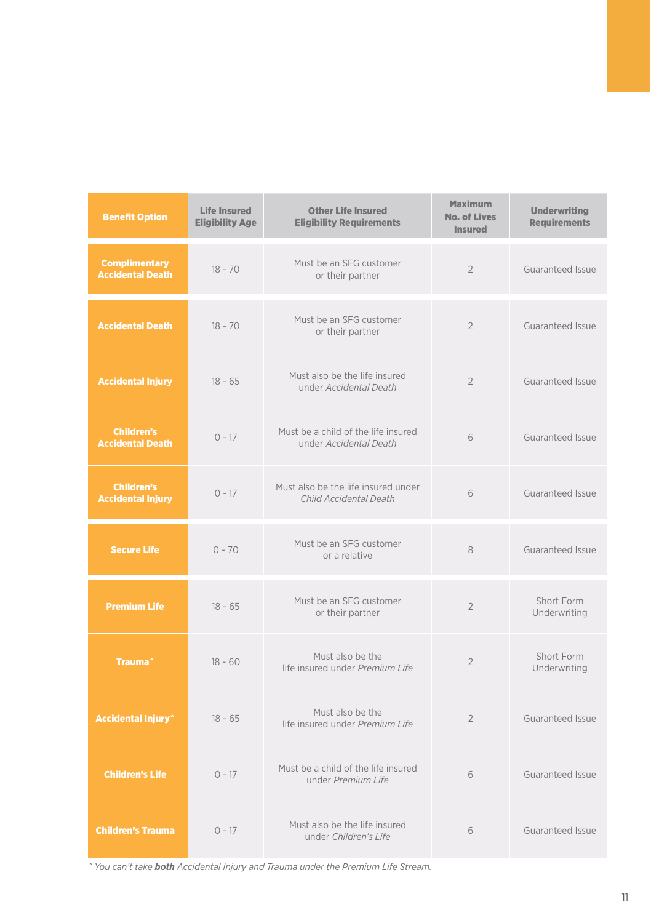| <b>Benefit Option</b>                           | <b>Life Insured</b><br><b>Eligibility Age</b> | <b>Other Life Insured</b><br><b>Eligibility Requirements</b>  | <b>Maximum</b><br><b>No. of Lives</b><br><b>Insured</b> | <b>Underwriting</b><br><b>Requirements</b> |
|-------------------------------------------------|-----------------------------------------------|---------------------------------------------------------------|---------------------------------------------------------|--------------------------------------------|
| <b>Complimentary</b><br><b>Accidental Death</b> | $18 - 70$                                     | Must be an SFG customer<br>or their partner                   | $\overline{2}$                                          | Guaranteed Issue                           |
| <b>Accidental Death</b>                         | $18 - 70$                                     | Must be an SFG customer<br>or their partner                   | $\overline{2}$                                          | Guaranteed Issue                           |
| <b>Accidental Injury</b>                        | $18 - 65$                                     | Must also be the life insured<br>under Accidental Death       | $\overline{2}$                                          | Guaranteed Issue                           |
| <b>Children's</b><br><b>Accidental Death</b>    | $0 - 17$                                      | Must be a child of the life insured<br>under Accidental Death | 6                                                       | Guaranteed Issue                           |
| <b>Children's</b><br><b>Accidental Injury</b>   | $0 - 17$                                      | Must also be the life insured under<br>Child Accidental Death | 6                                                       | Guaranteed Issue                           |
| <b>Secure Life</b>                              | $0 - 70$                                      | Must be an SFG customer<br>or a relative                      | 8                                                       | Guaranteed Issue                           |
| <b>Premium Life</b>                             | $18 - 65$                                     | Must be an SFG customer<br>or their partner                   | $\overline{2}$                                          | Short Form<br>Underwriting                 |
| Trauma <sup>^</sup>                             | $18 - 60$                                     | Must also be the<br>life insured under Premium Life           | $\overline{2}$                                          | Short Form<br>Underwriting                 |
| <b>Accidental Injury</b> <sup>^</sup>           | $18 - 65$                                     | Must also be the<br>life insured under Premium Life           | $\overline{2}$                                          | Guaranteed Issue                           |
| <b>Children's Life</b>                          | $0 - 17$                                      | Must be a child of the life insured<br>under Premium Life     | 6                                                       | Guaranteed Issue                           |
| <b>Children's Trauma</b>                        | $0 - 17$                                      | Must also be the life insured<br>under Children's Life        | 6                                                       | Guaranteed Issue                           |

*^ You can't take both Accidental Injury and Trauma under the Premium Life Stream.*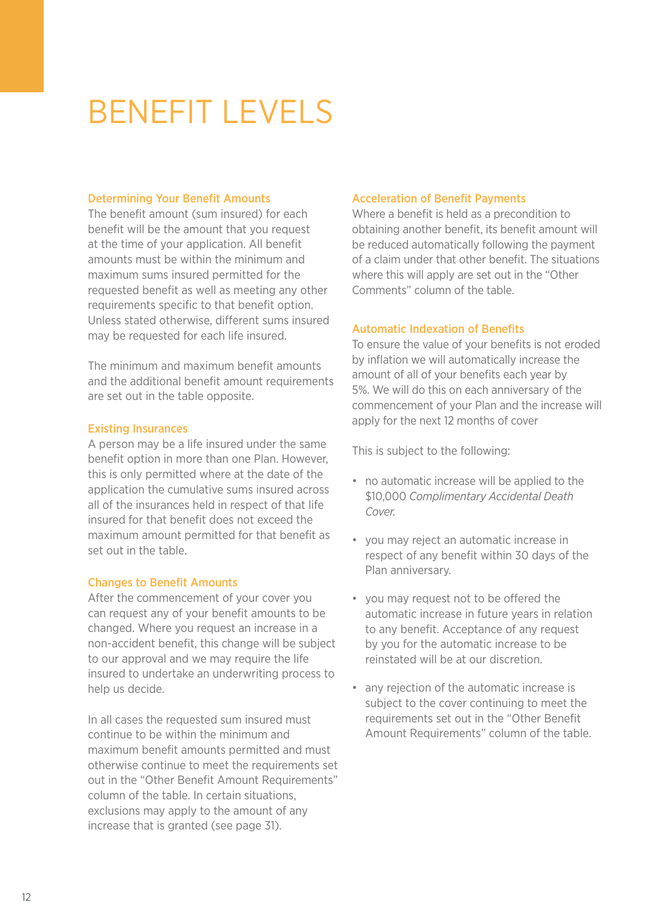# BENEFIT LEVELS

#### Determining Your Benefit Amounts

The benefit amount (sum insured) for each benefit will be the amount that you request at the time of your application. All benefit amounts must be within the minimum and maximum sums insured permitted for the requested benefit as well as meeting any other requirements specific to that benefit option. Unless stated otherwise, different sums insured may be requested for each life insured.

The minimum and maximum benefit amounts and the additional benefit amount requirements are set out in the table opposite.

#### Existing Insurances

A person may be a life insured under the same benefit option in more than one Plan. However, this is only permitted where at the date of the application the cumulative sums insured across all of the insurances held in respect of that life insured for that benefit does not exceed the maximum amount permitted for that benefit as set out in the table.

#### Changes to Benefit Amounts

After the commencement of your cover you can request any of your benefit amounts to be changed. Where you request an increase in a non-accident benefit, this change will be subject to our approval and we may require the life insured to undertake an underwriting process to help us decide.

In all cases the requested sum insured must continue to be within the minimum and maximum benefit amounts permitted and must otherwise continue to meet the requirements set out in the "Other Benefit Amount Requirements" column of the table. In certain situations, exclusions may apply to the amount of any increase that is granted (see page 31).

#### Acceleration of Benefit Payments

Where a benefit is held as a precondition to obtaining another benefit, its benefit amount will be reduced automatically following the payment of a claim under that other benefit. The situations where this will apply are set out in the "Other Comments" column of the table.

#### Automatic Indexation of Benefits

To ensure the value of your benefits is not eroded by inflation we will automatically increase the amount of all of your benefits each year by 5%. We will do this on each anniversary of the commencement of your Plan and the increase will apply for the next 12 months of cover

This is subject to the following:

- no automatic increase will be applied to the \$10,000 *Complimentary Accidental Death Cover.*
- you may reject an automatic increase in respect of any benefit within 30 days of the Plan anniversary.
- you may request not to be offered the automatic increase in future years in relation to any benefit. Acceptance of any request by you for the automatic increase to be reinstated will be at our discretion.
- any rejection of the automatic increase is subject to the cover continuing to meet the requirements set out in the "Other Benefit Amount Requirements" column of the table.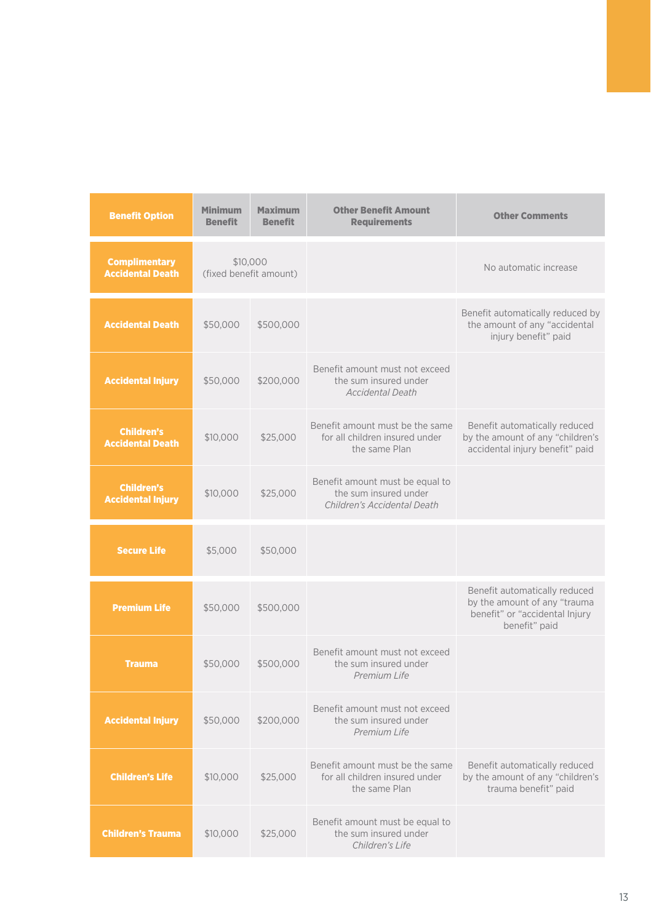| <b>Benefit Option</b>                           | Minimum<br><b>Benefit</b>          | <b>Maximum</b><br><b>Benefit</b> | <b>Other Benefit Amount</b><br><b>Requirements</b>                                      | <b>Other Comments</b>                                                                                            |
|-------------------------------------------------|------------------------------------|----------------------------------|-----------------------------------------------------------------------------------------|------------------------------------------------------------------------------------------------------------------|
| <b>Complimentary</b><br><b>Accidental Death</b> | \$10,000<br>(fixed benefit amount) |                                  |                                                                                         | No automatic increase                                                                                            |
| <b>Accidental Death</b>                         | \$50,000                           | \$500,000                        |                                                                                         | Benefit automatically reduced by<br>the amount of any "accidental<br>injury benefit" paid                        |
| <b>Accidental Injury</b>                        | \$50,000                           | \$200,000                        | Benefit amount must not exceed<br>the sum insured under<br><b>Accidental Death</b>      |                                                                                                                  |
| <b>Children's</b><br><b>Accidental Death</b>    | \$10,000                           | \$25,000                         | Benefit amount must be the same<br>for all children insured under<br>the same Plan      | Benefit automatically reduced<br>by the amount of any "children's<br>accidental injury benefit" paid             |
| <b>Children's</b><br><b>Accidental Injury</b>   | \$10,000                           | \$25,000                         | Benefit amount must be equal to<br>the sum insured under<br>Children's Accidental Death |                                                                                                                  |
| <b>Secure Life</b>                              | \$5,000                            | \$50,000                         |                                                                                         |                                                                                                                  |
| <b>Premium Life</b>                             | \$50,000                           | \$500,000                        |                                                                                         | Benefit automatically reduced<br>by the amount of any "trauma<br>benefit" or "accidental Injury<br>benefit" paid |
| <b>Trauma</b>                                   | \$50,000                           | \$500,000                        | Benefit amount must not exceed<br>the sum insured under<br>Premium Life                 |                                                                                                                  |
| <b>Accidental Injury</b>                        | \$50,000                           | \$200,000                        | Benefit amount must not exceed<br>the sum insured under<br>Premium Life                 |                                                                                                                  |
| <b>Children's Life</b>                          | \$10,000                           | \$25,000                         | Benefit amount must be the same<br>for all children insured under<br>the same Plan      | Benefit automatically reduced<br>by the amount of any "children's<br>trauma benefit" paid                        |
| <b>Children's Trauma</b>                        | \$10,000                           | \$25,000                         | Benefit amount must be equal to<br>the sum insured under<br>Children's Life             |                                                                                                                  |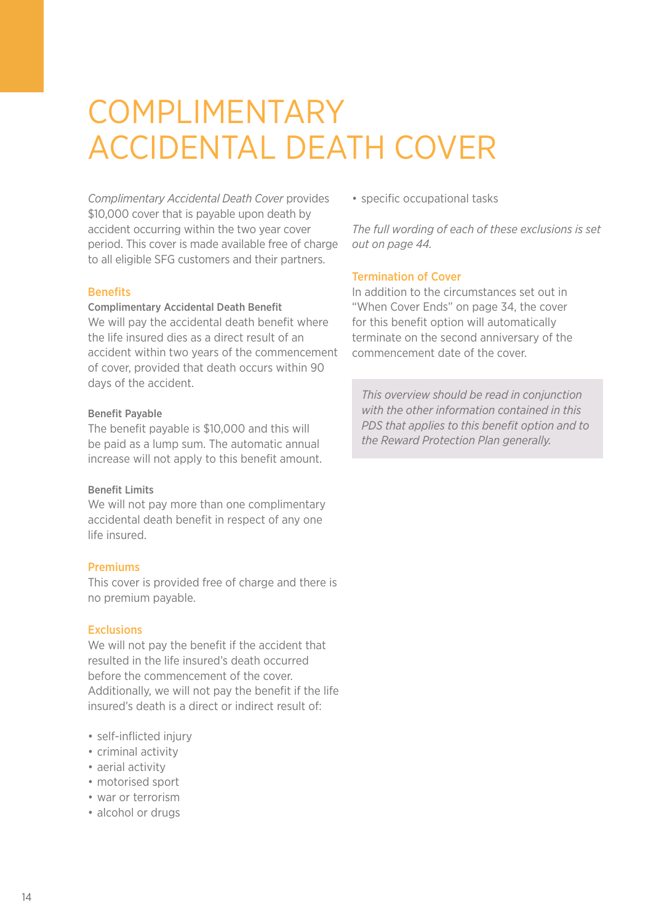### COMPLIMENTARY ACCIDENTAL DEATH COVER

*Complimentary Accidental Death Cover* provides \$10,000 cover that is payable upon death by accident occurring within the two year cover period. This cover is made available free of charge to all eligible SFG customers and their partners.

#### **Benefits**

#### Complimentary Accidental Death Benefit

We will pay the accidental death benefit where the life insured dies as a direct result of an accident within two years of the commencement of cover, provided that death occurs within 90 days of the accident.

#### Benefit Payable

The benefit payable is \$10,000 and this will be paid as a lump sum. The automatic annual increase will not apply to this benefit amount.

#### Benefit Limits

We will not pay more than one complimentary accidental death benefit in respect of any one life insured.

#### Premiums

This cover is provided free of charge and there is no premium payable.

#### Exclusions

We will not pay the benefit if the accident that resulted in the life insured's death occurred before the commencement of the cover. Additionally, we will not pay the benefit if the life insured's death is a direct or indirect result of:

- self-inflicted injury
- criminal activity
- aerial activity
- motorised sport
- war or terrorism
- alcohol or drugs

• specific occupational tasks

*The full wording of each of these exclusions is set out on page 44.*

#### Termination of Cover

In addition to the circumstances set out in "When Cover Ends" on page 34, the cover for this benefit option will automatically terminate on the second anniversary of the commencement date of the cover.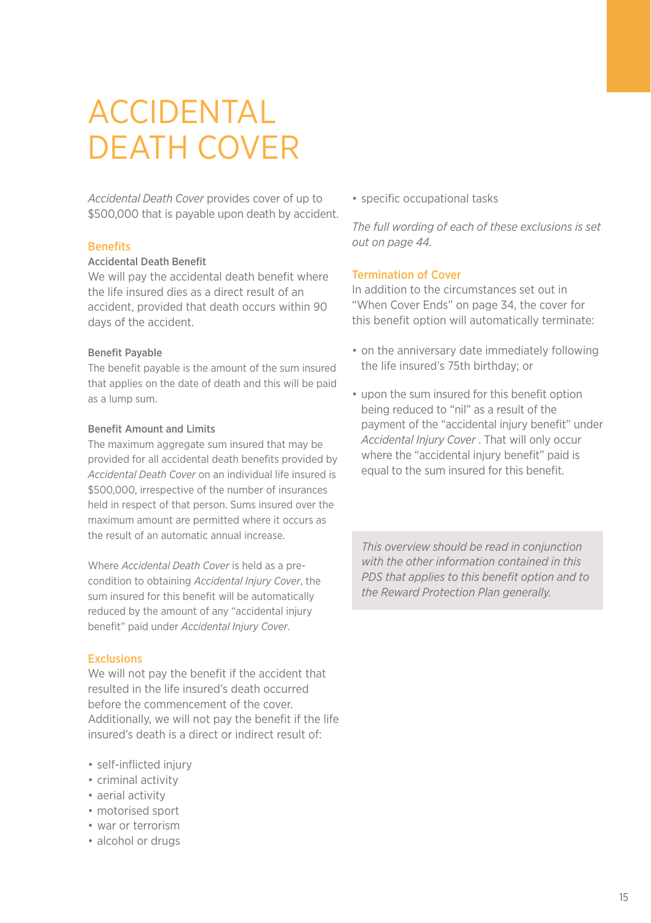### ACCIDENTAL DEATH COVER

*Accidental Death Cover* provides cover of up to \$500,000 that is payable upon death by accident.

#### **Benefits**

#### Accidental Death Benefit

We will pay the accidental death benefit where the life insured dies as a direct result of an accident, provided that death occurs within 90 days of the accident.

#### Benefit Payable

The benefit payable is the amount of the sum insured that applies on the date of death and this will be paid as a lump sum.

#### Benefit Amount and Limits

The maximum aggregate sum insured that may be provided for all accidental death benefits provided by *Accidental Death Cover* on an individual life insured is \$500,000, irrespective of the number of insurances held in respect of that person. Sums insured over the maximum amount are permitted where it occurs as the result of an automatic annual increase.

Where *Accidental Death Cover* is held as a precondition to obtaining *Accidental Injury Cover*, the sum insured for this benefit will be automatically reduced by the amount of any "accidental injury benefit" paid under *Accidental Injury Cover*.

#### Exclusions

We will not pay the benefit if the accident that resulted in the life insured's death occurred before the commencement of the cover. Additionally, we will not pay the benefit if the life insured's death is a direct or indirect result of:

- self-inflicted injury
- criminal activity
- aerial activity
- motorised sport
- war or terrorism
- alcohol or drugs

• specific occupational tasks

*The full wording of each of these exclusions is set out on page 44.*

#### Termination of Cover

In addition to the circumstances set out in "When Cover Ends" on page 34, the cover for this benefit option will automatically terminate:

- on the anniversary date immediately following the life insured's 75th birthday; or
- upon the sum insured for this benefit option being reduced to "nil" as a result of the payment of the "accidental injury benefit" under *Accidental Injury Cover* . That will only occur where the "accidental injury benefit" paid is equal to the sum insured for this benefit.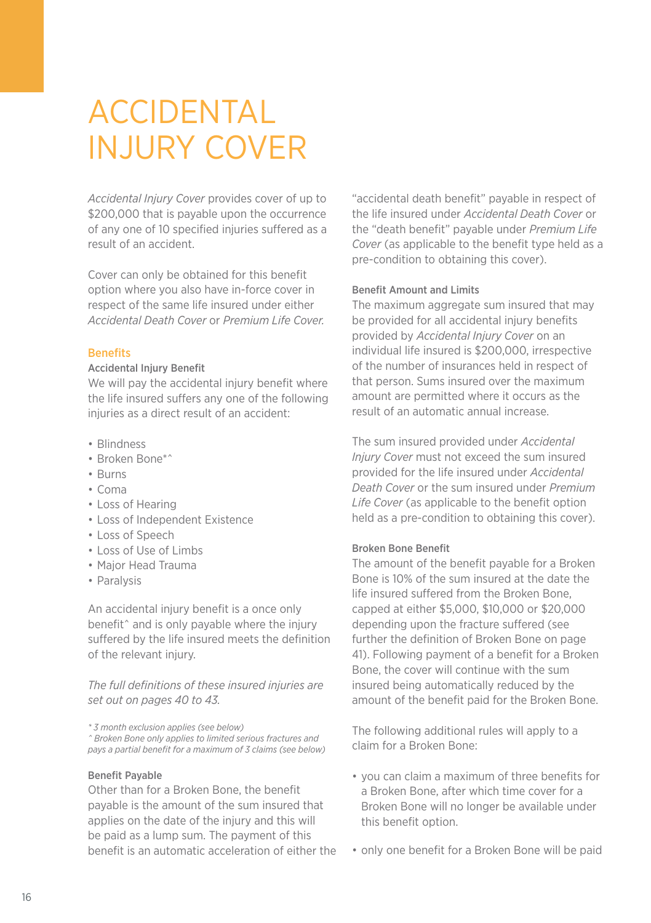### ACCIDENTAL INJURY COVER

*Accidental Injury Cover* provides cover of up to \$200,000 that is payable upon the occurrence of any one of 10 specified injuries suffered as a result of an accident.

Cover can only be obtained for this benefit option where you also have in-force cover in respect of the same life insured under either *Accidental Death Cover* or *Premium Life Cover.*

#### **Benefits**

#### Accidental Injury Benefit

We will pay the accidental injury benefit where the life insured suffers any one of the following injuries as a direct result of an accident:

- Blindness
- Broken Bone\*^
- Burns
- Coma
- Loss of Hearing
- Loss of Independent Existence
- Loss of Speech
- Loss of Use of Limbs
- Major Head Trauma
- Paralysis

An accidental injury benefit is a once only benefit<sup>^</sup> and is only payable where the injury suffered by the life insured meets the definition of the relevant injury.

*The full definitions of these insured injuries are set out on pages 40 to 43.*

*\* 3 month exclusion applies (see below)*

*^ Broken Bone only applies to limited serious fractures and pays a partial benefit for a maximum of 3 claims (see below)*

#### Benefit Payable

Other than for a Broken Bone, the benefit payable is the amount of the sum insured that applies on the date of the injury and this will be paid as a lump sum. The payment of this benefit is an automatic acceleration of either the

"accidental death benefit" payable in respect of the life insured under *Accidental Death Cover* or the "death benefit" payable under *Premium Life Cover* (as applicable to the benefit type held as a pre-condition to obtaining this cover).

#### Benefit Amount and Limits

The maximum aggregate sum insured that may be provided for all accidental injury benefits provided by *Accidental Injury Cover* on an individual life insured is \$200,000, irrespective of the number of insurances held in respect of that person. Sums insured over the maximum amount are permitted where it occurs as the result of an automatic annual increase.

The sum insured provided under *Accidental Injury Cover* must not exceed the sum insured provided for the life insured under *Accidental Death Cover* or the sum insured under *Premium Life Cover* (as applicable to the benefit option held as a pre-condition to obtaining this cover).

#### Broken Bone Benefit

The amount of the benefit payable for a Broken Bone is 10% of the sum insured at the date the life insured suffered from the Broken Bone, capped at either \$5,000, \$10,000 or \$20,000 depending upon the fracture suffered (see further the definition of Broken Bone on page 41). Following payment of a benefit for a Broken Bone, the cover will continue with the sum insured being automatically reduced by the amount of the benefit paid for the Broken Bone.

The following additional rules will apply to a claim for a Broken Bone:

- you can claim a maximum of three benefits for a Broken Bone, after which time cover for a Broken Bone will no longer be available under this benefit option.
- only one benefit for a Broken Bone will be paid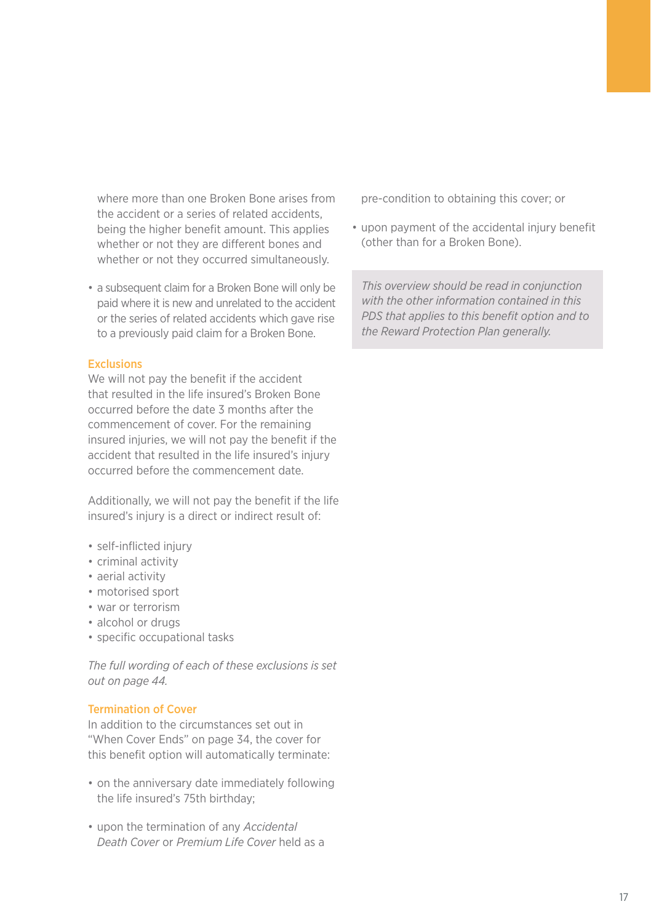where more than one Broken Bone arises from the accident or a series of related accidents, being the higher benefit amount. This applies whether or not they are different bones and whether or not they occurred simultaneously.

• a subsequent claim for a Broken Bone will only be paid where it is new and unrelated to the accident or the series of related accidents which gave rise to a previously paid claim for a Broken Bone.

#### Exclusions

We will not pay the benefit if the accident that resulted in the life insured's Broken Bone occurred before the date 3 months after the commencement of cover. For the remaining insured injuries, we will not pay the benefit if the accident that resulted in the life insured's injury occurred before the commencement date.

Additionally, we will not pay the benefit if the life insured's injury is a direct or indirect result of:

- self-inflicted injury
- criminal activity
- aerial activity
- motorised sport
- war or terrorism
- alcohol or drugs
- specific occupational tasks

*The full wording of each of these exclusions is set out on page 44.*

#### Termination of Cover

In addition to the circumstances set out in "When Cover Ends" on page 34, the cover for this benefit option will automatically terminate:

- on the anniversary date immediately following the life insured's 75th birthday;
- upon the termination of any *Accidental Death Cover* or *Premium Life Cover* held as a

pre-condition to obtaining this cover; or

• upon payment of the accidental injury benefit (other than for a Broken Bone).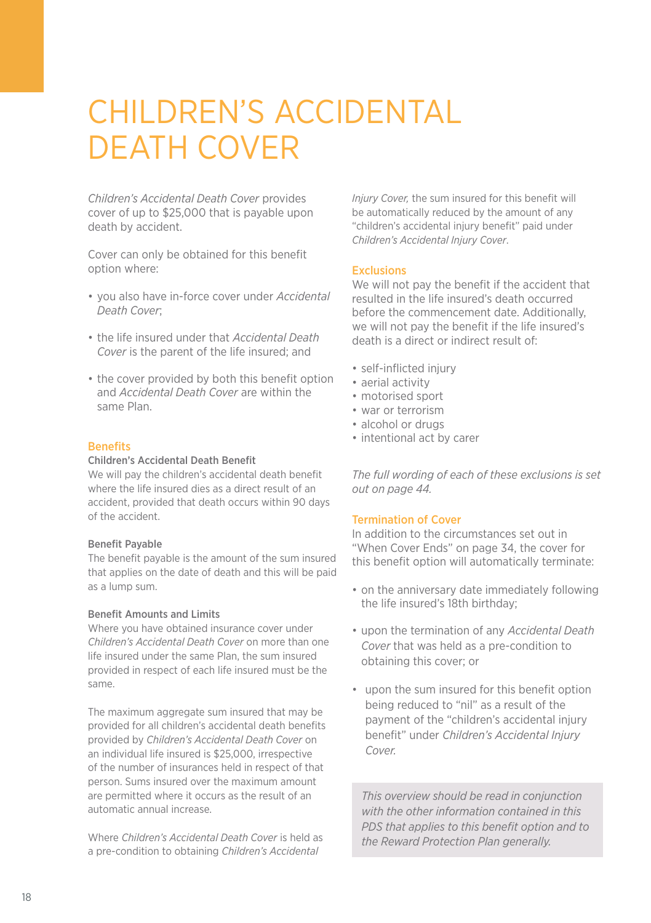### Children's Accidental DEATH COVER

*Children's Accidental Death Cover* provides cover of up to \$25,000 that is payable upon death by accident.

Cover can only be obtained for this benefit option where:

- you also have in-force cover under *Accidental Death Cover*;
- the life insured under that *Accidental Death Cover* is the parent of the life insured; and
- the cover provided by both this benefit option and *Accidental Death Cover* are within the same Plan.

#### **Benefits**

#### Children's Accidental Death Benefit

We will pay the children's accidental death benefit where the life insured dies as a direct result of an accident, provided that death occurs within 90 days of the accident.

#### Benefit Payable

The benefit payable is the amount of the sum insured that applies on the date of death and this will be paid as a lump sum.

#### Benefit Amounts and Limits

Where you have obtained insurance cover under *Children's Accidental Death Cover* on more than one life insured under the same Plan, the sum insured provided in respect of each life insured must be the same.

The maximum aggregate sum insured that may be provided for all children's accidental death benefits provided by *Children's Accidental Death Cover* on an individual life insured is \$25,000, irrespective of the number of insurances held in respect of that person. Sums insured over the maximum amount are permitted where it occurs as the result of an automatic annual increase.

Where *Children's Accidental Death Cover* is held as a pre-condition to obtaining *Children's Accidental*

*Injury Cover,* the sum insured for this benefit will be automatically reduced by the amount of any "children's accidental injury benefit" paid under *Children's Accidental Injury Cover*.

#### Exclusions

We will not pay the benefit if the accident that resulted in the life insured's death occurred before the commencement date. Additionally, we will not pay the benefit if the life insured's death is a direct or indirect result of:

- self-inflicted injury
- aerial activity
- motorised sport
- war or terrorism
- alcohol or drugs
- intentional act by carer

*The full wording of each of these exclusions is set out on page 44.*

#### Termination of Cover

In addition to the circumstances set out in "When Cover Ends" on page 34, the cover for this benefit option will automatically terminate:

- on the anniversary date immediately following the life insured's 18th birthday;
- upon the termination of any *Accidental Death Cover* that was held as a pre-condition to obtaining this cover; or
- upon the sum insured for this benefit option being reduced to "nil" as a result of the payment of the "children's accidental injury benefit" under *Children's Accidental Injury Cover.*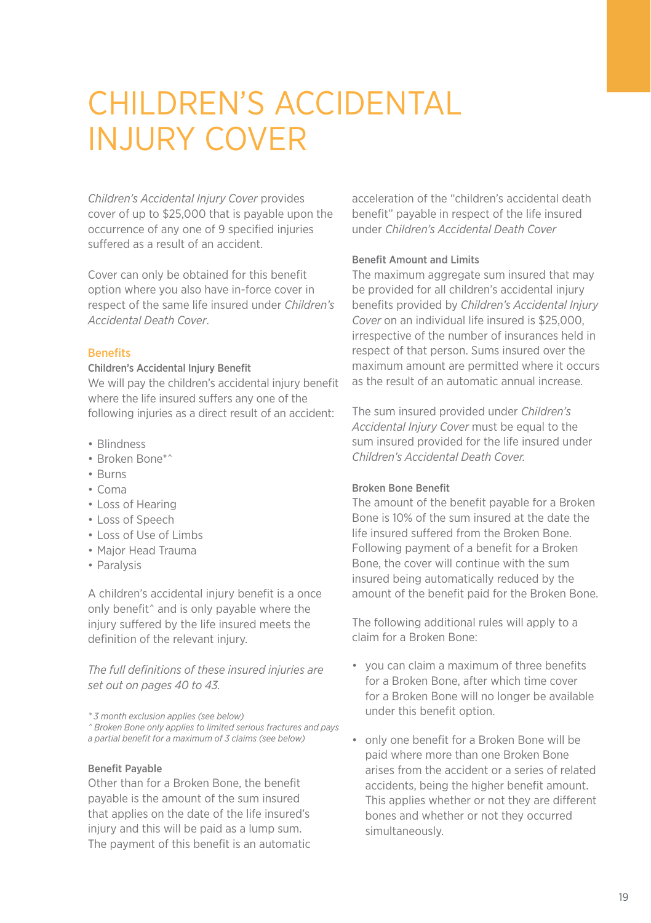### CHILDREN'S ACCIDENTAL INJURY COVER

*Children's Accidental Injury Cover* provides cover of up to \$25,000 that is payable upon the occurrence of any one of 9 specified injuries suffered as a result of an accident.

Cover can only be obtained for this benefit option where you also have in-force cover in respect of the same life insured under *Children's Accidental Death Cover*.

#### **Benefits**

#### Children's Accidental Injury Benefit

We will pay the children's accidental injury benefit where the life insured suffers any one of the following injuries as a direct result of an accident:

- Blindness
- Broken Bone\*^
- Burns
- Coma
- Loss of Hearing
- Loss of Speech
- Loss of Use of Limbs
- Major Head Trauma
- Paralysis

A children's accidental injury benefit is a once only benefit^ and is only payable where the injury suffered by the life insured meets the definition of the relevant injury.

*The full definitions of these insured injuries are set out on pages 40 to 43.*

*\* 3 month exclusion applies (see below)*

*^ Broken Bone only applies to limited serious fractures and pays* 

*a partial benefit for a maximum of 3 claims (see below)*

#### Benefit Payable

Other than for a Broken Bone, the benefit payable is the amount of the sum insured that applies on the date of the life insured's injury and this will be paid as a lump sum. The payment of this benefit is an automatic acceleration of the "children's accidental death benefit" payable in respect of the life insured under *Children's Accidental Death Cover*

#### Benefit Amount and Limits

The maximum aggregate sum insured that may be provided for all children's accidental injury benefits provided by *Children's Accidental Injury Cover* on an individual life insured is \$25,000, irrespective of the number of insurances held in respect of that person. Sums insured over the maximum amount are permitted where it occurs as the result of an automatic annual increase.

The sum insured provided under *Children's Accidental Injury Cover* must be equal to the sum insured provided for the life insured under *Children's Accidental Death Cover.*

#### Broken Bone Benefit

The amount of the benefit payable for a Broken Bone is 10% of the sum insured at the date the life insured suffered from the Broken Bone. Following payment of a benefit for a Broken Bone, the cover will continue with the sum insured being automatically reduced by the amount of the benefit paid for the Broken Bone.

The following additional rules will apply to a claim for a Broken Bone:

- you can claim a maximum of three benefits for a Broken Bone, after which time cover for a Broken Bone will no longer be available under this benefit option.
- only one benefit for a Broken Bone will be paid where more than one Broken Bone arises from the accident or a series of related accidents, being the higher benefit amount. This applies whether or not they are different bones and whether or not they occurred simultaneously.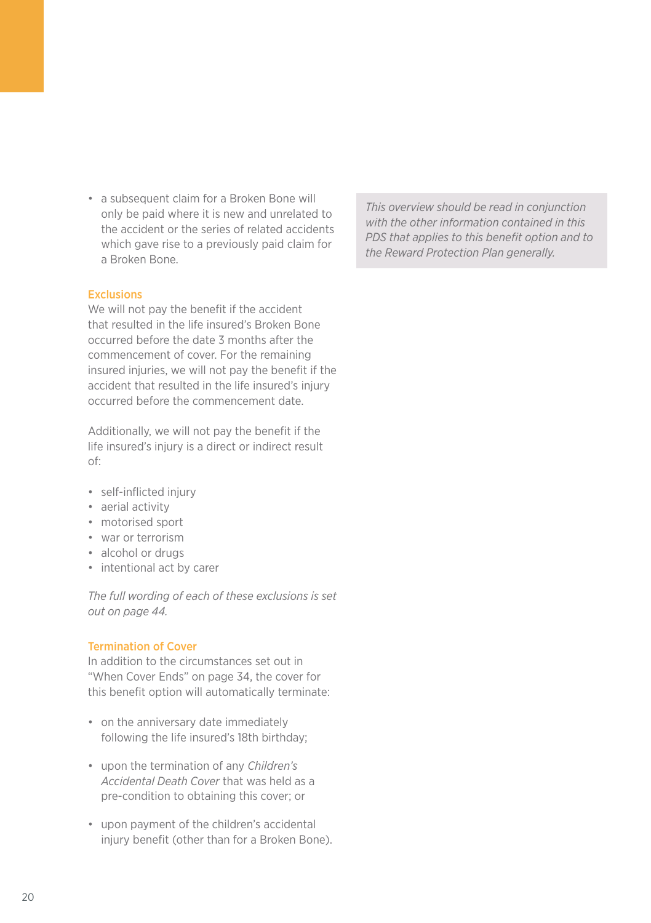• a subsequent claim for a Broken Bone will only be paid where it is new and unrelated to the accident or the series of related accidents which gave rise to a previously paid claim for a Broken Bone.

#### **Exclusions**

We will not pay the benefit if the accident that resulted in the life insured's Broken Bone occurred before the date 3 months after the commencement of cover. For the remaining insured injuries, we will not pay the benefit if the accident that resulted in the life insured's injury occurred before the commencement date.

Additionally, we will not pay the benefit if the life insured's injury is a direct or indirect result of:

- self-inflicted injury
- aerial activity
- motorised sport
- war or terrorism
- alcohol or drugs
- intentional act by carer

*The full wording of each of these exclusions is set out on page 44.*

#### Termination of Cover

In addition to the circumstances set out in "When Cover Ends" on page 34, the cover for this benefit option will automatically terminate:

- on the anniversary date immediately following the life insured's 18th birthday;
- upon the termination of any *Children's Accidental Death Cover* that was held as a pre-condition to obtaining this cover; or
- upon payment of the children's accidental injury benefit (other than for a Broken Bone).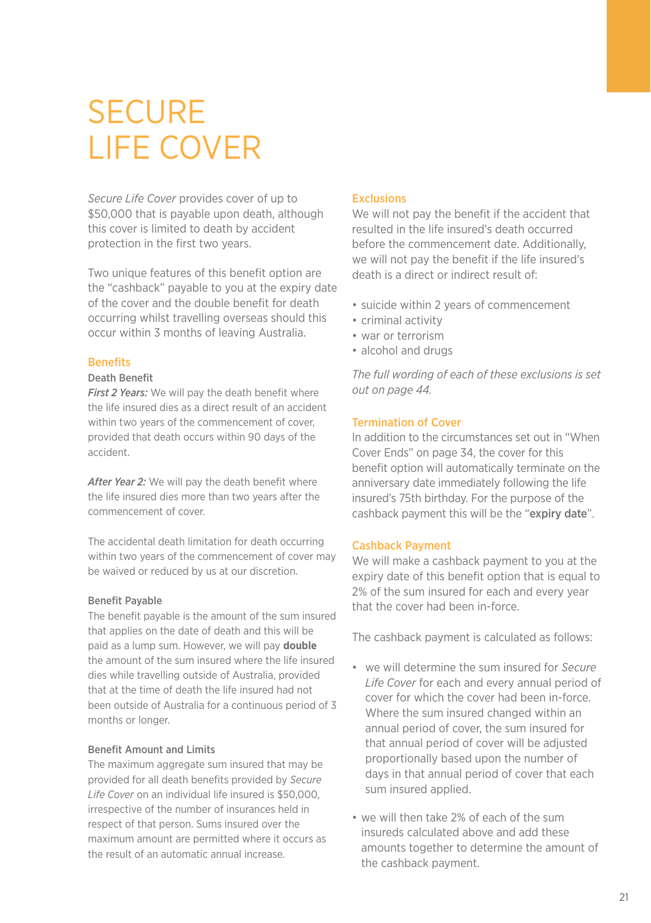### **SECURE** LIFE COVER

*Secure Life Cover* provides cover of up to \$50,000 that is payable upon death, although this cover is limited to death by accident protection in the first two years.

Two unique features of this benefit option are the "cashback" payable to you at the expiry date of the cover and the double benefit for death occurring whilst travelling overseas should this occur within 3 months of leaving Australia.

#### **Benefits**

#### Death Benefit

*First 2 Years:* We will pay the death benefit where the life insured dies as a direct result of an accident within two years of the commencement of cover, provided that death occurs within 90 days of the accident.

*After Year 2:* We will pay the death benefit where the life insured dies more than two years after the commencement of cover.

The accidental death limitation for death occurring within two years of the commencement of cover may be waived or reduced by us at our discretion.

#### Benefit Payable

The benefit payable is the amount of the sum insured that applies on the date of death and this will be paid as a lump sum. However, we will pay **double** the amount of the sum insured where the life insured dies while travelling outside of Australia, provided that at the time of death the life insured had not been outside of Australia for a continuous period of 3 months or longer.

#### Benefit Amount and Limits

The maximum aggregate sum insured that may be provided for all death benefits provided by *Secure Life Cover* on an individual life insured is \$50,000, irrespective of the number of insurances held in respect of that person. Sums insured over the maximum amount are permitted where it occurs as the result of an automatic annual increase.

#### Exclusions

We will not pay the benefit if the accident that resulted in the life insured's death occurred before the commencement date. Additionally, we will not pay the benefit if the life insured's death is a direct or indirect result of:

- suicide within 2 years of commencement
- criminal activity
- war or terrorism
- alcohol and drugs

*The full wording of each of these exclusions is set out on page 44.*

#### Termination of Cover

In addition to the circumstances set out in "When Cover Ends" on page 34, the cover for this benefit option will automatically terminate on the anniversary date immediately following the life insured's 75th birthday. For the purpose of the cashback payment this will be the "expiry date".

#### Cashback Payment

We will make a cashback payment to you at the expiry date of this benefit option that is equal to 2% of the sum insured for each and every year that the cover had been in-force.

The cashback payment is calculated as follows:

- we will determine the sum insured for *Secure Life Cover* for each and every annual period of cover for which the cover had been in-force. Where the sum insured changed within an annual period of cover, the sum insured for that annual period of cover will be adjusted proportionally based upon the number of days in that annual period of cover that each sum insured applied.
- we will then take 2% of each of the sum insureds calculated above and add these amounts together to determine the amount of the cashback payment.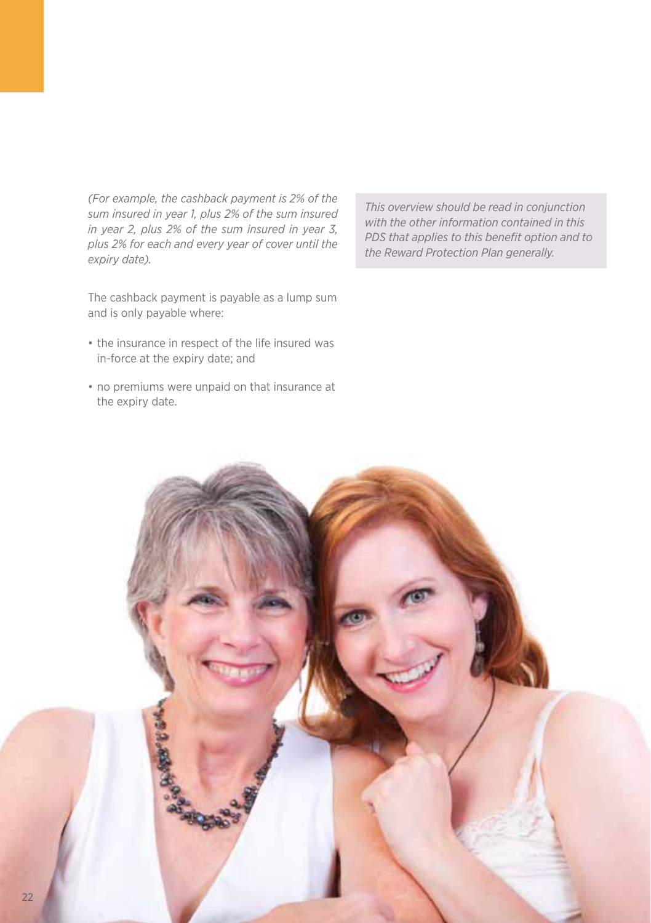*(For example, the cashback payment is 2% of the sum insured in year 1, plus 2% of the sum insured in year 2, plus 2% of the sum insured in year 3, plus 2% for each and every year of cover until the expiry date).*

The cashback payment is payable as a lump sum and is only payable where:

- the insurance in respect of the life insured was in-force at the expiry date; and
- no premiums were unpaid on that insurance at the expiry date.

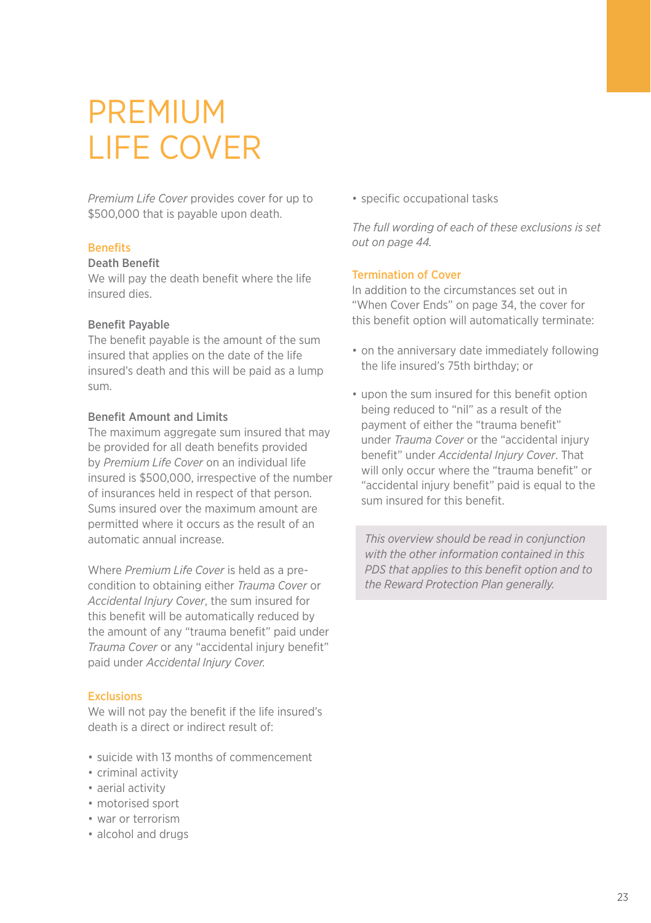### PREMIUM LIFE COVER

*Premium Life Cover* provides cover for up to \$500,000 that is payable upon death.

#### **Benefits**

#### Death Benefit

We will pay the death benefit where the life insured dies.

#### Benefit Payable

The benefit payable is the amount of the sum insured that applies on the date of the life insured's death and this will be paid as a lump sum.

#### Benefit Amount and Limits

The maximum aggregate sum insured that may be provided for all death benefits provided by *Premium Life Cover* on an individual life insured is \$500,000, irrespective of the number of insurances held in respect of that person. Sums insured over the maximum amount are permitted where it occurs as the result of an automatic annual increase.

Where *Premium Life Cover* is held as a precondition to obtaining either *Trauma Cover* or *Accidental Injury Cover*, the sum insured for this benefit will be automatically reduced by the amount of any "trauma benefit" paid under *Trauma Cover* or any "accidental injury benefit" paid under *Accidental Injury Cover.*

#### Exclusions

We will not pay the benefit if the life insured's death is a direct or indirect result of:

- suicide with 13 months of commencement
- criminal activity
- aerial activity
- motorised sport
- war or terrorism
- alcohol and drugs

• specific occupational tasks

*The full wording of each of these exclusions is set out on page 44.*

#### Termination of Cover

In addition to the circumstances set out in "When Cover Ends" on page 34, the cover for this benefit option will automatically terminate:

- on the anniversary date immediately following the life insured's 75th birthday; or
- upon the sum insured for this benefit option being reduced to "nil" as a result of the payment of either the "trauma benefit" under *Trauma Cover* or the "accidental injury benefit" under *Accidental Injury Cover*. That will only occur where the "trauma benefit" or "accidental injury benefit" paid is equal to the sum insured for this benefit.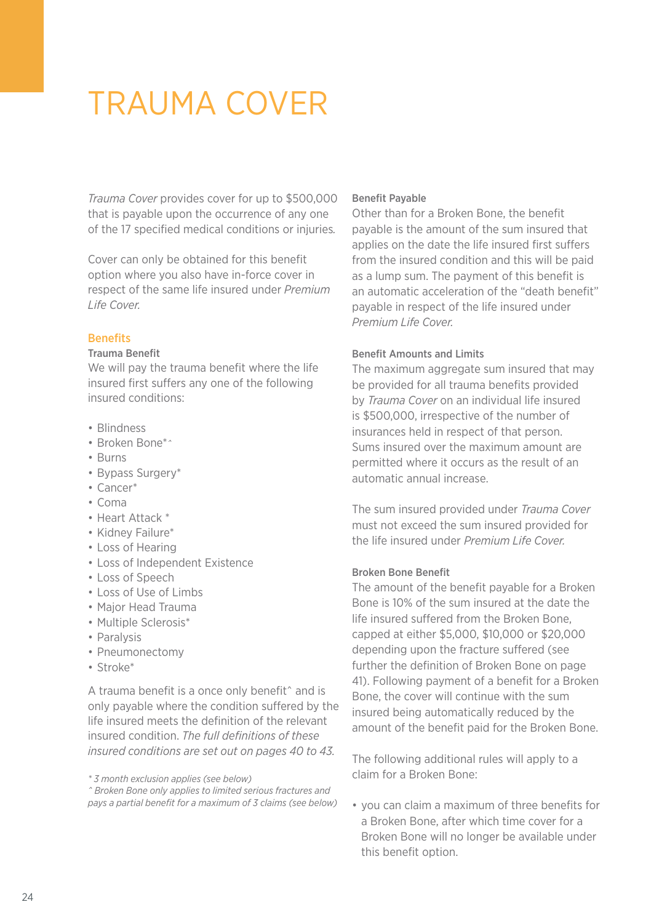### TRAUMA COVER

*Trauma Cover* provides cover for up to \$500,000 that is payable upon the occurrence of any one of the 17 specified medical conditions or injuries*.* 

Cover can only be obtained for this benefit option where you also have in-force cover in respect of the same life insured under *Premium Life Cover.*

#### **Benefits**

#### Trauma Benefit

We will pay the trauma benefit where the life insured first suffers any one of the following insured conditions:

- Blindness
- Broken Bone\**^*
- Burns
- Bypass Surgery\*
- Cancer\*
- Coma
- Heart Attack \*
- Kidney Failure\*
- Loss of Hearing
- Loss of Independent Existence
- Loss of Speech
- Loss of Use of Limbs
- Major Head Trauma
- Multiple Sclerosis\*
- Paralysis
- Pneumonectomy
- Stroke\*

A trauma benefit is a once only benefit^ and is only payable where the condition suffered by the life insured meets the definition of the relevant insured condition. *The full definitions of these insured conditions are set out on pages 40 to 43.*

*\* 3 month exclusion applies (see below)*

*^ Broken Bone only applies to limited serious fractures and pays a partial benefit for a maximum of 3 claims (see below)*

#### Benefit Payable

Other than for a Broken Bone, the benefit payable is the amount of the sum insured that applies on the date the life insured first suffers from the insured condition and this will be paid as a lump sum. The payment of this benefit is an automatic acceleration of the "death benefit" payable in respect of the life insured under *Premium Life Cover.*

#### Benefit Amounts and Limits

The maximum aggregate sum insured that may be provided for all trauma benefits provided by *Trauma Cover* on an individual life insured is \$500,000, irrespective of the number of insurances held in respect of that person. Sums insured over the maximum amount are permitted where it occurs as the result of an automatic annual increase.

The sum insured provided under *Trauma Cover*  must not exceed the sum insured provided for the life insured under *Premium Life Cover.*

#### Broken Bone Benefit

The amount of the benefit payable for a Broken Bone is 10% of the sum insured at the date the life insured suffered from the Broken Bone, capped at either \$5,000, \$10,000 or \$20,000 depending upon the fracture suffered (see further the definition of Broken Bone on page 41). Following payment of a benefit for a Broken Bone, the cover will continue with the sum insured being automatically reduced by the amount of the benefit paid for the Broken Bone.

The following additional rules will apply to a claim for a Broken Bone:

• you can claim a maximum of three benefits for a Broken Bone, after which time cover for a Broken Bone will no longer be available under this benefit option.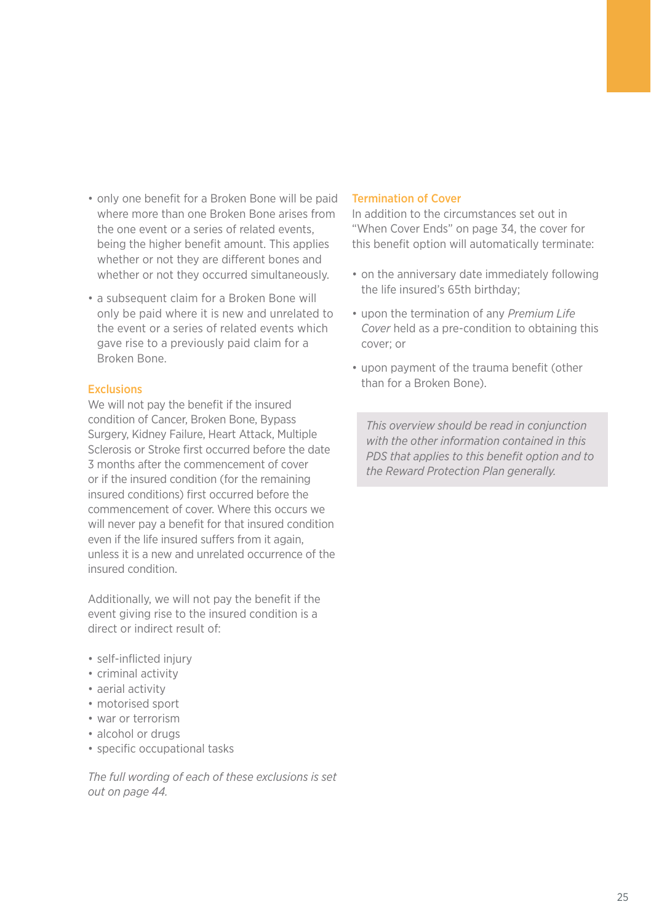- only one benefit for a Broken Bone will be paid where more than one Broken Bone arises from the one event or a series of related events, being the higher benefit amount. This applies whether or not they are different bones and whether or not they occurred simultaneously.
- a subsequent claim for a Broken Bone will only be paid where it is new and unrelated to the event or a series of related events which gave rise to a previously paid claim for a Broken Bone.

#### Exclusions

We will not pay the benefit if the insured condition of Cancer, Broken Bone, Bypass Surgery, Kidney Failure, Heart Attack, Multiple Sclerosis or Stroke first occurred before the date 3 months after the commencement of cover or if the insured condition (for the remaining insured conditions) first occurred before the commencement of cover. Where this occurs we will never pay a benefit for that insured condition even if the life insured suffers from it again. unless it is a new and unrelated occurrence of the insured condition.

Additionally, we will not pay the benefit if the event giving rise to the insured condition is a direct or indirect result of:

- self-inflicted injury
- criminal activity
- aerial activity
- motorised sport
- war or terrorism
- alcohol or drugs
- specific occupational tasks

*The full wording of each of these exclusions is set out on page 44.*

#### Termination of Cover

In addition to the circumstances set out in "When Cover Ends" on page 34, the cover for this benefit option will automatically terminate:

- on the anniversary date immediately following the life insured's 65th birthday;
- upon the termination of any *Premium Life Cover* held as a pre-condition to obtaining this cover; or
- upon payment of the trauma benefit (other than for a Broken Bone).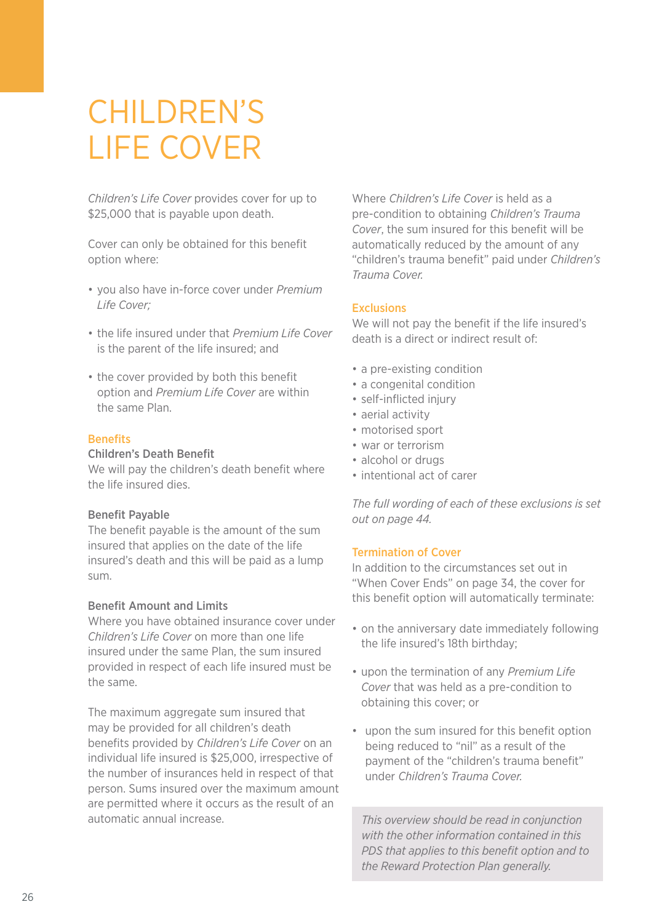### CHILDREN'S LIFE COVER

*Children's Life Cover* provides cover for up to \$25,000 that is payable upon death.

Cover can only be obtained for this benefit option where:

- you also have in-force cover under *Premium Life Cover;*
- the life insured under that *Premium Life Cover* is the parent of the life insured; and
- the cover provided by both this benefit option and *Premium Life Cover* are within the same Plan.

#### Benefits

#### Children's Death Benefit

We will pay the children's death benefit where the life insured dies.

#### Benefit Payable

The benefit payable is the amount of the sum insured that applies on the date of the life insured's death and this will be paid as a lump sum.

#### Benefit Amount and Limits

Where you have obtained insurance cover under *Children's Life Cover* on more than one life insured under the same Plan, the sum insured provided in respect of each life insured must be the same.

The maximum aggregate sum insured that may be provided for all children's death benefits provided by *Children's Life Cover* on an individual life insured is \$25,000, irrespective of the number of insurances held in respect of that person. Sums insured over the maximum amount are permitted where it occurs as the result of an automatic annual increase.

Where *Children's Life Cover* is held as a pre-condition to obtaining *Children's Trauma Cover*, the sum insured for this benefit will be automatically reduced by the amount of any "children's trauma benefit" paid under *Children's Trauma Cover.* 

#### Exclusions

We will not pay the benefit if the life insured's death is a direct or indirect result of:

- a pre-existing condition
- a congenital condition
- self-inflicted injury
- aerial activity
- motorised sport
- war or terrorism
- alcohol or drugs
- intentional act of carer

*The full wording of each of these exclusions is set out on page 44.*

#### Termination of Cover

In addition to the circumstances set out in "When Cover Ends" on page 34, the cover for this benefit option will automatically terminate:

- on the anniversary date immediately following the life insured's 18th birthday;
- upon the termination of any *Premium Life Cover* that was held as a pre-condition to obtaining this cover; or
- upon the sum insured for this benefit option being reduced to "nil" as a result of the payment of the "children's trauma benefit" under *Children's Trauma Cover.*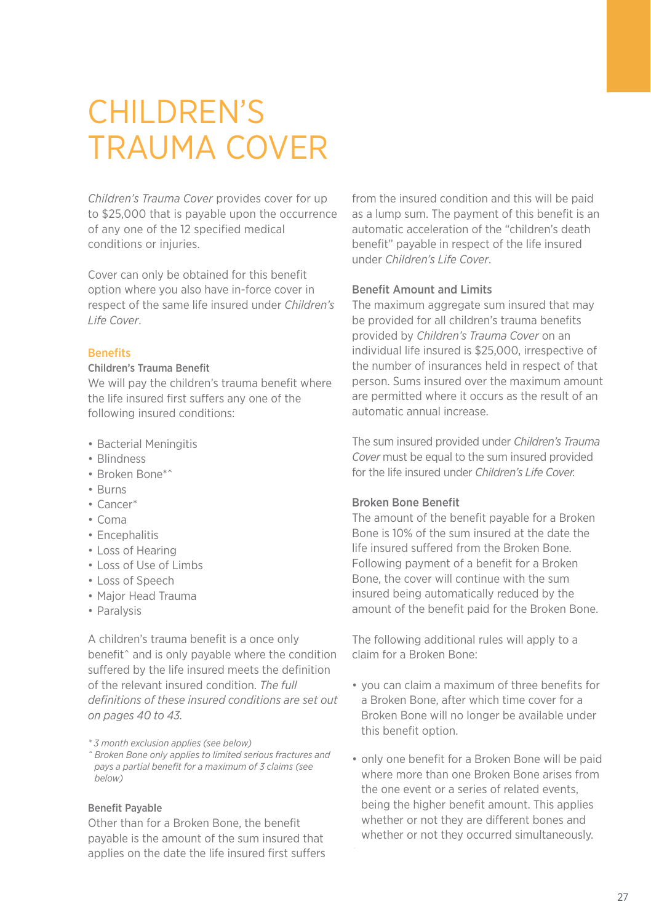### CHILDREN'S TRAUMA COVER

*Children's Trauma Cover* provides cover for up to \$25,000 that is payable upon the occurrence of any one of the 12 specified medical conditions or injuries.

Cover can only be obtained for this benefit option where you also have in-force cover in respect of the same life insured under *Children's Life Cover*.

#### **Benefits**

#### Children's Trauma Benefit

We will pay the children's trauma benefit where the life insured first suffers any one of the following insured conditions:

- Bacterial Meningitis
- Blindness
- Broken Bone\*^
- Burns
- Cancer\*
- Coma
- Encephalitis
- Loss of Hearing
- Loss of Use of Limbs
- Loss of Speech
- Major Head Trauma
- Paralysis

A children's trauma benefit is a once only benefit^ and is only payable where the condition suffered by the life insured meets the definition of the relevant insured condition. *The full definitions of these insured conditions are set out on pages 40 to 43.*

*\* 3 month exclusion applies (see below)*

*^ Broken Bone only applies to limited serious fractures and pays a partial benefit for a maximum of 3 claims (see below)*

#### Benefit Payable

Other than for a Broken Bone, the benefit payable is the amount of the sum insured that applies on the date the life insured first suffers

from the insured condition and this will be paid as a lump sum. The payment of this benefit is an automatic acceleration of the "children's death benefit" payable in respect of the life insured under *Children's Life Cover*.

#### Benefit Amount and Limits

The maximum aggregate sum insured that may be provided for all children's trauma benefits provided by *Children's Trauma Cover* on an individual life insured is \$25,000, irrespective of the number of insurances held in respect of that person. Sums insured over the maximum amount are permitted where it occurs as the result of an automatic annual increase.

The sum insured provided under *Children's Trauma Cover* must be equal to the sum insured provided for the life insured under *Children's Life Cover.*

#### Broken Bone Benefit

The amount of the benefit payable for a Broken Bone is 10% of the sum insured at the date the life insured suffered from the Broken Bone. Following payment of a benefit for a Broken Bone, the cover will continue with the sum insured being automatically reduced by the amount of the benefit paid for the Broken Bone.

The following additional rules will apply to a claim for a Broken Bone:

- you can claim a maximum of three benefits for a Broken Bone, after which time cover for a Broken Bone will no longer be available under this benefit option.
- only one benefit for a Broken Bone will be paid where more than one Broken Bone arises from the one event or a series of related events, being the higher benefit amount. This applies whether or not they are different bones and whether or not they occurred simultaneously.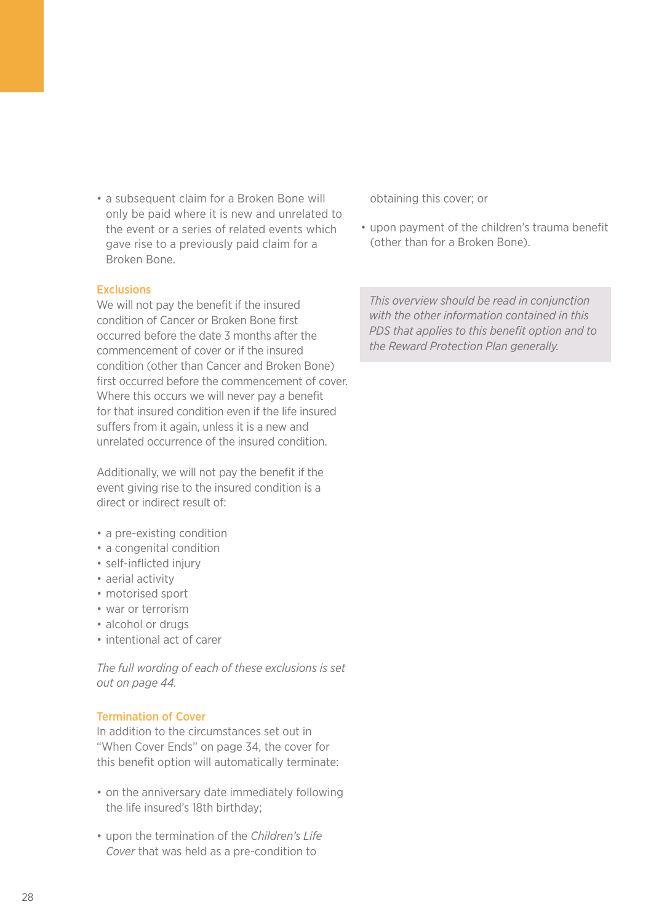• a subsequent claim for a Broken Bone will only be paid where it is new and unrelated to the event or a series of related events which gave rise to a previously paid claim for a Broken Bone.

#### Exclusions

We will not pay the benefit if the insured condition of Cancer or Broken Bone first occurred before the date 3 months after the commencement of cover or if the insured condition (other than Cancer and Broken Bone) first occurred before the commencement of cover. Where this occurs we will never pay a benefit for that insured condition even if the life insured suffers from it again, unless it is a new and unrelated occurrence of the insured condition.

Additionally, we will not pay the benefit if the event giving rise to the insured condition is a direct or indirect result of:

- a pre-existing condition
- a congenital condition
- self-inflicted injury
- aerial activity
- motorised sport
- war or terrorism
- alcohol or drugs
- intentional act of carer

*The full wording of each of these exclusions is set out on page 44.*

#### Termination of Cover

In addition to the circumstances set out in "When Cover Ends" on page 34, the cover for this benefit option will automatically terminate:

- on the anniversary date immediately following the life insured's 18th birthday;
- upon the termination of the *Children's Life Cover* that was held as a pre-condition to

obtaining this cover; or

• upon payment of the children's trauma benefit (other than for a Broken Bone).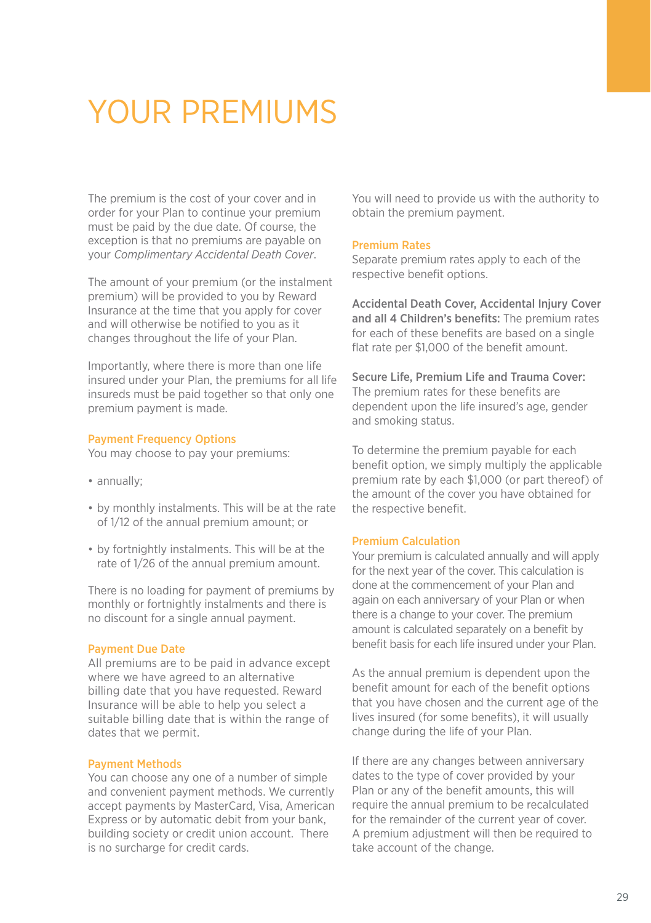### YOUR PREMIUMS

The premium is the cost of your cover and in order for your Plan to continue your premium must be paid by the due date. Of course, the exception is that no premiums are payable on your *Complimentary Accidental Death Cover*.

The amount of your premium (or the instalment premium) will be provided to you by Reward Insurance at the time that you apply for cover and will otherwise be notified to you as it changes throughout the life of your Plan.

Importantly, where there is more than one life insured under your Plan, the premiums for all life insureds must be paid together so that only one premium payment is made.

#### Payment Frequency Options

You may choose to pay your premiums:

- annually;
- by monthly instalments. This will be at the rate of 1/12 of the annual premium amount; or
- by fortnightly instalments. This will be at the rate of 1/26 of the annual premium amount.

There is no loading for payment of premiums by monthly or fortnightly instalments and there is no discount for a single annual payment.

#### Payment Due Date

All premiums are to be paid in advance except where we have agreed to an alternative billing date that you have requested. Reward Insurance will be able to help you select a suitable billing date that is within the range of dates that we permit.

#### Payment Methods

You can choose any one of a number of simple and convenient payment methods. We currently accept payments by MasterCard, Visa, American Express or by automatic debit from your bank, building society or credit union account. There is no surcharge for credit cards.

You will need to provide us with the authority to obtain the premium payment.

#### Premium Rates

Separate premium rates apply to each of the respective benefit options.

Accidental Death Cover, Accidental Injury Cover and all 4 Children's benefits: The premium rates for each of these benefits are based on a single flat rate per \$1,000 of the benefit amount.

Secure Life, Premium Life and Trauma Cover: The premium rates for these benefits are dependent upon the life insured's age, gender and smoking status.

To determine the premium payable for each benefit option, we simply multiply the applicable premium rate by each \$1,000 (or part thereof) of the amount of the cover you have obtained for the respective benefit.

#### Premium Calculation

Your premium is calculated annually and will apply for the next year of the cover. This calculation is done at the commencement of your Plan and again on each anniversary of your Plan or when there is a change to your cover. The premium amount is calculated separately on a benefit by benefit basis for each life insured under your Plan.

As the annual premium is dependent upon the benefit amount for each of the benefit options that you have chosen and the current age of the lives insured (for some benefits), it will usually change during the life of your Plan.

If there are any changes between anniversary dates to the type of cover provided by your Plan or any of the benefit amounts, this will require the annual premium to be recalculated for the remainder of the current year of cover. A premium adjustment will then be required to take account of the change.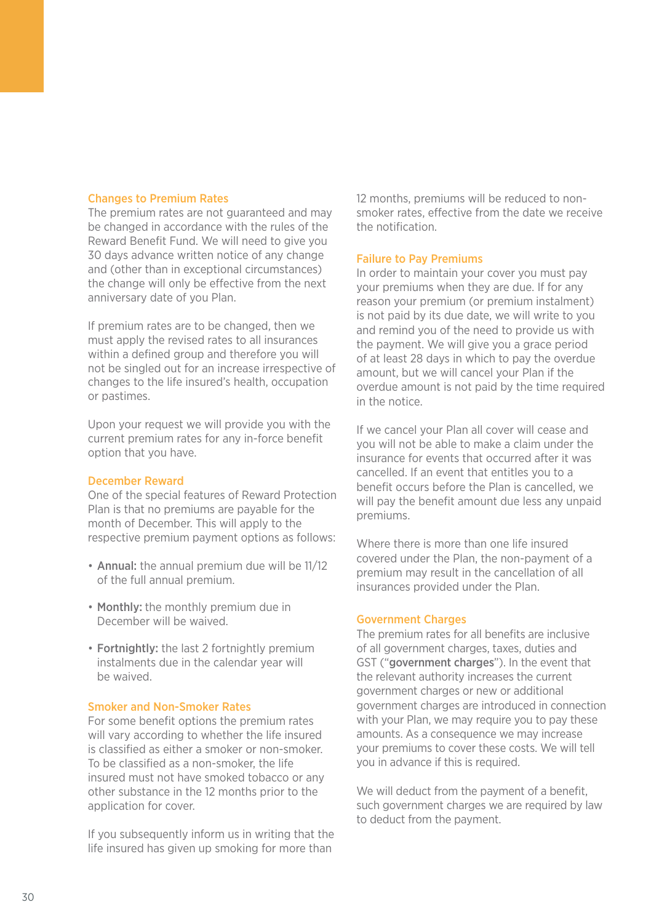#### Changes to Premium Rates

The premium rates are not guaranteed and may be changed in accordance with the rules of the Reward Benefit Fund. We will need to give you 30 days advance written notice of any change and (other than in exceptional circumstances) the change will only be effective from the next anniversary date of you Plan.

If premium rates are to be changed, then we must apply the revised rates to all insurances within a defined group and therefore you will not be singled out for an increase irrespective of changes to the life insured's health, occupation or pastimes.

Upon your request we will provide you with the current premium rates for any in-force benefit option that you have.

#### December Reward

One of the special features of Reward Protection Plan is that no premiums are payable for the month of December. This will apply to the respective premium payment options as follows:

- Annual: the annual premium due will be 11/12 of the full annual premium.
- Monthly: the monthly premium due in December will be waived.
- Fortnightly: the last 2 fortnightly premium instalments due in the calendar year will be waived.

#### Smoker and Non-Smoker Rates

For some benefit options the premium rates will vary according to whether the life insured is classified as either a smoker or non-smoker. To be classified as a non-smoker, the life insured must not have smoked tobacco or any other substance in the 12 months prior to the application for cover.

If you subsequently inform us in writing that the life insured has given up smoking for more than

12 months, premiums will be reduced to nonsmoker rates, effective from the date we receive the notification.

#### Failure to Pay Premiums

In order to maintain your cover you must pay your premiums when they are due. If for any reason your premium (or premium instalment) is not paid by its due date, we will write to you and remind you of the need to provide us with the payment. We will give you a grace period of at least 28 days in which to pay the overdue amount, but we will cancel your Plan if the overdue amount is not paid by the time required in the notice.

If we cancel your Plan all cover will cease and you will not be able to make a claim under the insurance for events that occurred after it was cancelled. If an event that entitles you to a benefit occurs before the Plan is cancelled, we will pay the benefit amount due less any unpaid premiums.

Where there is more than one life insured covered under the Plan, the non-payment of a premium may result in the cancellation of all insurances provided under the Plan.

#### Government Charges

The premium rates for all benefits are inclusive of all government charges, taxes, duties and GST ("government charges"). In the event that the relevant authority increases the current government charges or new or additional government charges are introduced in connection with your Plan, we may require you to pay these amounts. As a consequence we may increase your premiums to cover these costs. We will tell you in advance if this is required.

We will deduct from the payment of a benefit. such government charges we are required by law to deduct from the payment.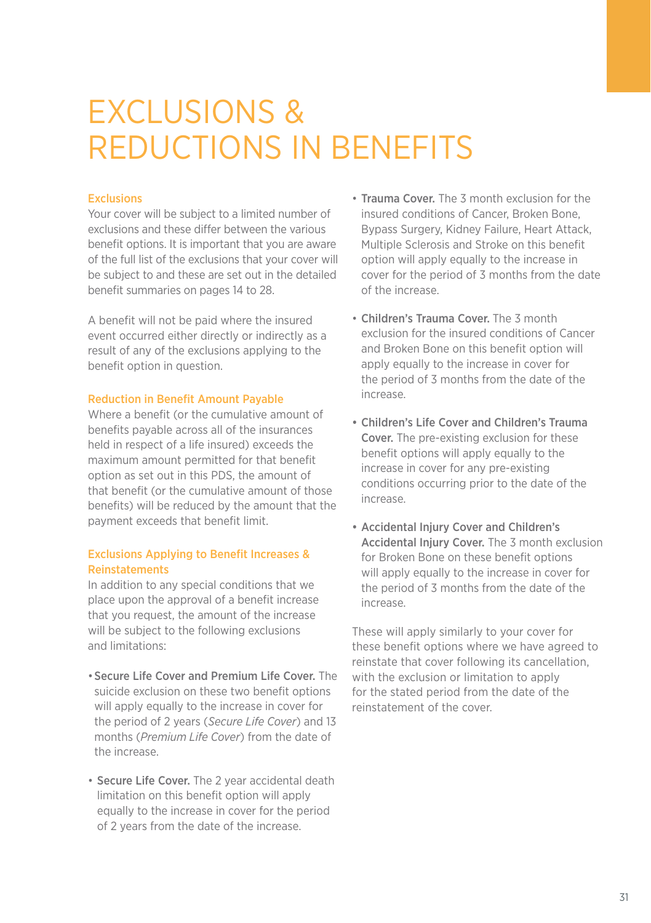### EXCLUSIONS & REDUCTIONS IN BENEFITS

#### Exclusions

Your cover will be subject to a limited number of exclusions and these differ between the various benefit options. It is important that you are aware of the full list of the exclusions that your cover will be subject to and these are set out in the detailed benefit summaries on pages 14 to 28.

A benefit will not be paid where the insured event occurred either directly or indirectly as a result of any of the exclusions applying to the benefit option in question.

#### Reduction in Benefit Amount Payable

Where a benefit (or the cumulative amount of benefits payable across all of the insurances held in respect of a life insured) exceeds the maximum amount permitted for that benefit option as set out in this PDS, the amount of that benefit (or the cumulative amount of those benefits) will be reduced by the amount that the payment exceeds that benefit limit.

#### Exclusions Applying to Benefit Increases & Reinstatements

In addition to any special conditions that we place upon the approval of a benefit increase that you request, the amount of the increase will be subject to the following exclusions and limitations:

- •Secure Life Cover and Premium Life Cover. The suicide exclusion on these two benefit options will apply equally to the increase in cover for the period of 2 years (*Secure Life Cover*) and 13 months (*Premium Life Cover*) from the date of the increase.
- Secure Life Cover. The 2 year accidental death limitation on this benefit option will apply equally to the increase in cover for the period of 2 years from the date of the increase.
- Trauma Cover. The 3 month exclusion for the insured conditions of Cancer, Broken Bone, Bypass Surgery, Kidney Failure, Heart Attack, Multiple Sclerosis and Stroke on this benefit option will apply equally to the increase in cover for the period of 3 months from the date of the increase.
- Children's Trauma Cover. The 3 month exclusion for the insured conditions of Cancer and Broken Bone on this benefit option will apply equally to the increase in cover for the period of 3 months from the date of the increase.
- Children's Life Cover and Children's Trauma Cover. The pre-existing exclusion for these benefit options will apply equally to the increase in cover for any pre-existing conditions occurring prior to the date of the increase.
- Accidental Injury Cover and Children's Accidental Injury Cover. The 3 month exclusion for Broken Bone on these benefit options will apply equally to the increase in cover for the period of 3 months from the date of the increase.

These will apply similarly to your cover for these benefit options where we have agreed to reinstate that cover following its cancellation, with the exclusion or limitation to apply for the stated period from the date of the reinstatement of the cover.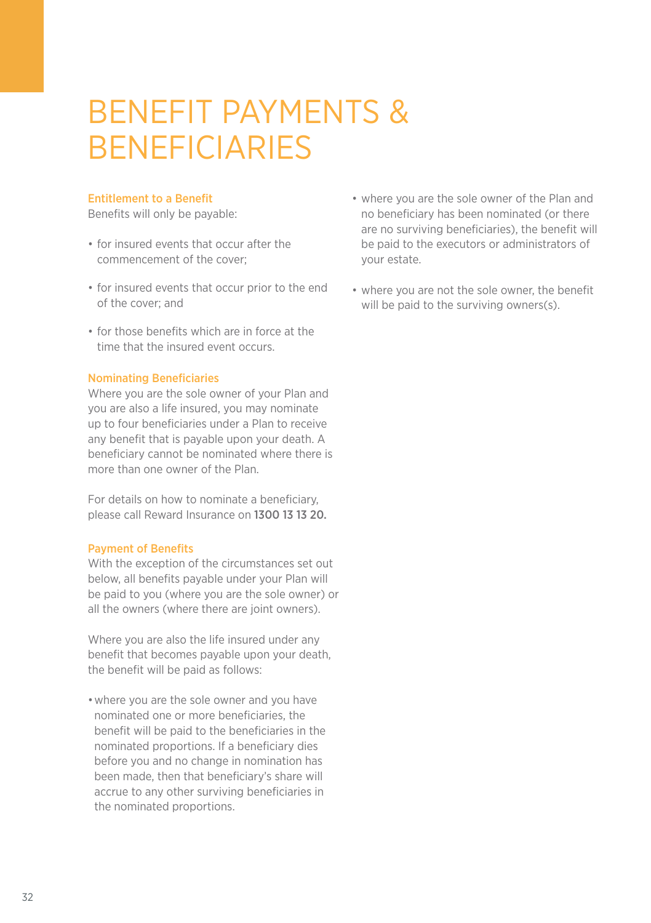### BENEFIT PAYMENTS & BENEFICIARIES

#### Entitlement to a Benefit

Benefits will only be payable:

- for insured events that occur after the commencement of the cover;
- for insured events that occur prior to the end of the cover; and
- for those benefits which are in force at the time that the insured event occurs.

#### Nominating Beneficiaries

Where you are the sole owner of your Plan and you are also a life insured, you may nominate up to four beneficiaries under a Plan to receive any benefit that is payable upon your death. A beneficiary cannot be nominated where there is more than one owner of the Plan.

For details on how to nominate a beneficiary, please call Reward Insurance on 1300 13 13 20.

#### Payment of Benefits

With the exception of the circumstances set out below, all benefits payable under your Plan will be paid to you (where you are the sole owner) or all the owners (where there are joint owners).

Where you are also the life insured under any benefit that becomes payable upon your death, the benefit will be paid as follows:

•where you are the sole owner and you have nominated one or more beneficiaries, the benefit will be paid to the beneficiaries in the nominated proportions. If a beneficiary dies before you and no change in nomination has been made, then that beneficiary's share will accrue to any other surviving beneficiaries in the nominated proportions.

- where you are the sole owner of the Plan and no beneficiary has been nominated (or there are no surviving beneficiaries), the benefit will be paid to the executors or administrators of your estate.
- where you are not the sole owner, the benefit will be paid to the surviving owners(s).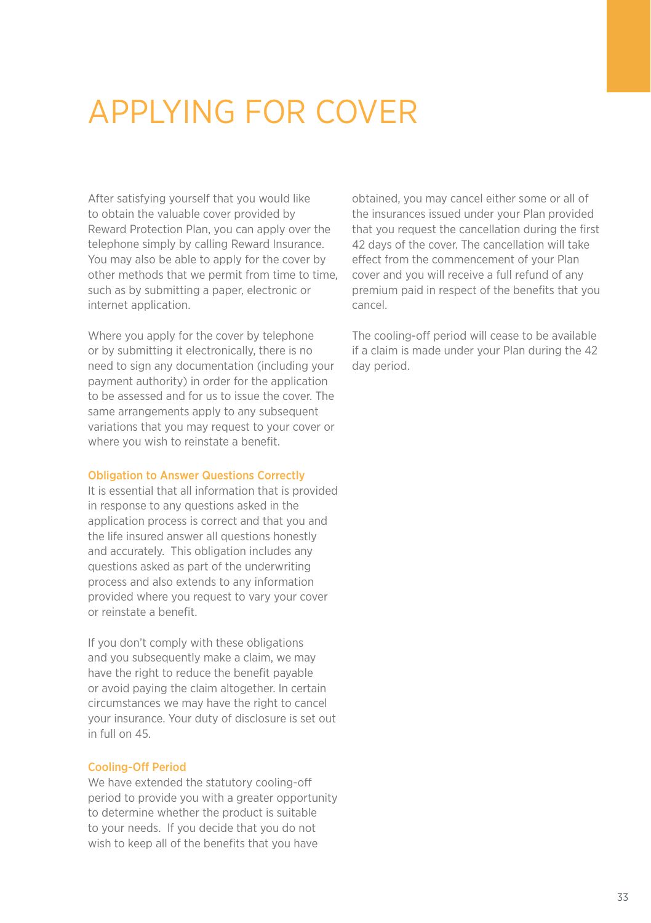# APPLYING FOR COVER

After satisfying yourself that you would like to obtain the valuable cover provided by Reward Protection Plan, you can apply over the telephone simply by calling Reward Insurance. You may also be able to apply for the cover by other methods that we permit from time to time, such as by submitting a paper, electronic or internet application.

Where you apply for the cover by telephone or by submitting it electronically, there is no need to sign any documentation (including your payment authority) in order for the application to be assessed and for us to issue the cover. The same arrangements apply to any subsequent variations that you may request to your cover or where you wish to reinstate a benefit.

#### Obligation to Answer Questions Correctly

It is essential that all information that is provided in response to any questions asked in the application process is correct and that you and the life insured answer all questions honestly and accurately. This obligation includes any questions asked as part of the underwriting process and also extends to any information provided where you request to vary your cover or reinstate a benefit.

If you don't comply with these obligations and you subsequently make a claim, we may have the right to reduce the benefit payable or avoid paying the claim altogether. In certain circumstances we may have the right to cancel your insurance. Your duty of disclosure is set out in full on 45.

#### Cooling-Off Period

We have extended the statutory cooling-off period to provide you with a greater opportunity to determine whether the product is suitable to your needs. If you decide that you do not wish to keep all of the benefits that you have

obtained, you may cancel either some or all of the insurances issued under your Plan provided that you request the cancellation during the first 42 days of the cover. The cancellation will take effect from the commencement of your Plan cover and you will receive a full refund of any premium paid in respect of the benefits that you cancel.

The cooling-off period will cease to be available if a claim is made under your Plan during the 42 day period.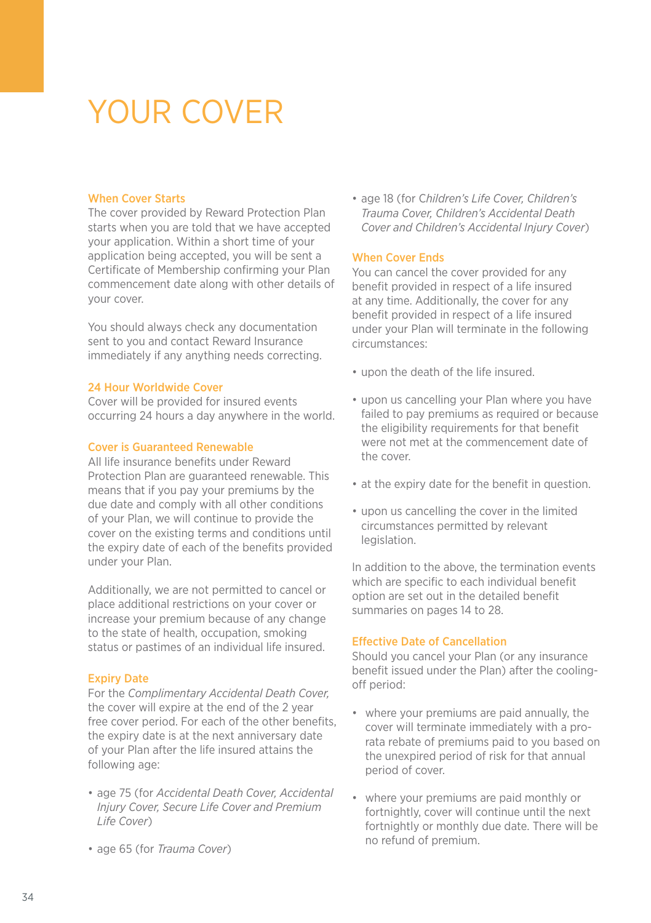### YOUR COVER

#### When Cover Starts

The cover provided by Reward Protection Plan starts when you are told that we have accepted your application. Within a short time of your application being accepted, you will be sent a Certificate of Membership confirming your Plan commencement date along with other details of your cover.

You should always check any documentation sent to you and contact Reward Insurance immediately if any anything needs correcting.

#### 24 Hour Worldwide Cover

Cover will be provided for insured events occurring 24 hours a day anywhere in the world.

#### Cover is Guaranteed Renewable

All life insurance benefits under Reward Protection Plan are guaranteed renewable. This means that if you pay your premiums by the due date and comply with all other conditions of your Plan, we will continue to provide the cover on the existing terms and conditions until the expiry date of each of the benefits provided under your Plan.

Additionally, we are not permitted to cancel or place additional restrictions on your cover or increase your premium because of any change to the state of health, occupation, smoking status or pastimes of an individual life insured.

#### Expiry Date

For the *Complimentary Accidental Death Cover,* the cover will expire at the end of the 2 year free cover period. For each of the other benefits, the expiry date is at the next anniversary date of your Plan after the life insured attains the following age:

- age 75 (for *Accidental Death Cover, Accidental Injury Cover, Secure Life Cover and Premium Life Cover*)
- age 65 (for *Trauma Cover*)

• age 18 (for C*hildren's Life Cover, Children's Trauma Cover, Children's Accidental Death Cover and Children's Accidental Injury Cover*)

#### When Cover Ends

You can cancel the cover provided for any benefit provided in respect of a life insured at any time. Additionally, the cover for any benefit provided in respect of a life insured under your Plan will terminate in the following circumstances:

- upon the death of the life insured.
- upon us cancelling your Plan where you have failed to pay premiums as required or because the eligibility requirements for that benefit were not met at the commencement date of the cover.
- at the expiry date for the benefit in question.
- upon us cancelling the cover in the limited circumstances permitted by relevant legislation.

In addition to the above, the termination events which are specific to each individual benefit option are set out in the detailed benefit summaries on pages 14 to 28.

#### Effective Date of Cancellation

Should you cancel your Plan (or any insurance benefit issued under the Plan) after the coolingoff period:

- where your premiums are paid annually, the cover will terminate immediately with a prorata rebate of premiums paid to you based on the unexpired period of risk for that annual period of cover.
- where your premiums are paid monthly or fortnightly, cover will continue until the next fortnightly or monthly due date. There will be no refund of premium.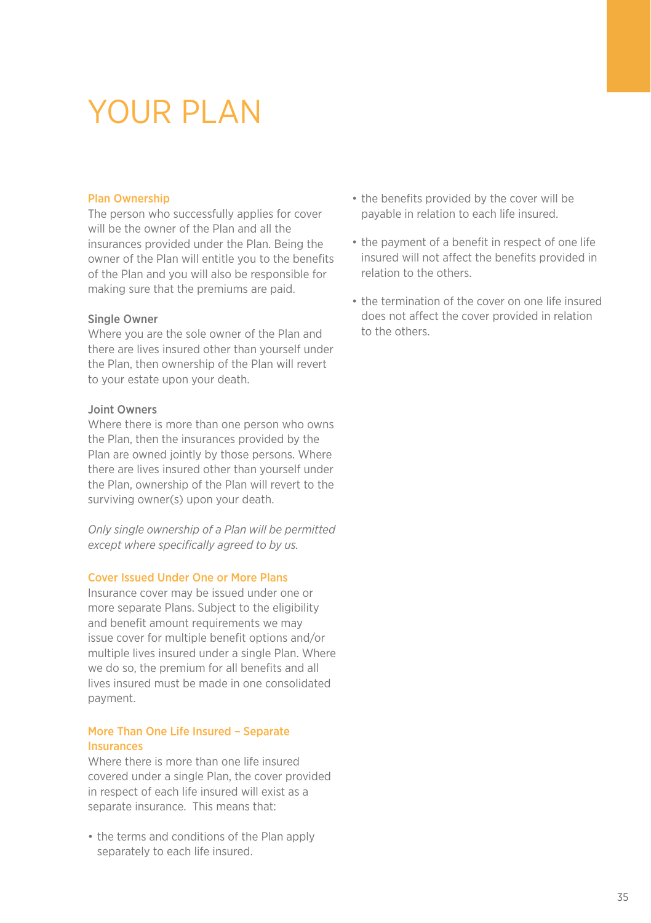### YOUR PLAN

#### Plan Ownership

The person who successfully applies for cover will be the owner of the Plan and all the insurances provided under the Plan. Being the owner of the Plan will entitle you to the benefits of the Plan and you will also be responsible for making sure that the premiums are paid.

#### Single Owner

Where you are the sole owner of the Plan and there are lives insured other than yourself under the Plan, then ownership of the Plan will revert to your estate upon your death.

#### Joint Owners

Where there is more than one person who owns the Plan, then the insurances provided by the Plan are owned jointly by those persons. Where there are lives insured other than yourself under the Plan, ownership of the Plan will revert to the surviving owner(s) upon your death.

*Only single ownership of a Plan will be permitted except where specifically agreed to by us.*

#### Cover Issued Under One or More Plans

Insurance cover may be issued under one or more separate Plans. Subject to the eligibility and benefit amount requirements we may issue cover for multiple benefit options and/or multiple lives insured under a single Plan. Where we do so, the premium for all benefits and all lives insured must be made in one consolidated payment.

#### More Than One Life Insured – Separate Insurances

Where there is more than one life insured covered under a single Plan, the cover provided in respect of each life insured will exist as a separate insurance. This means that:

• the terms and conditions of the Plan apply separately to each life insured.

- the benefits provided by the cover will be payable in relation to each life insured.
- the payment of a benefit in respect of one life insured will not affect the benefits provided in relation to the others.
- the termination of the cover on one life insured does not affect the cover provided in relation to the others.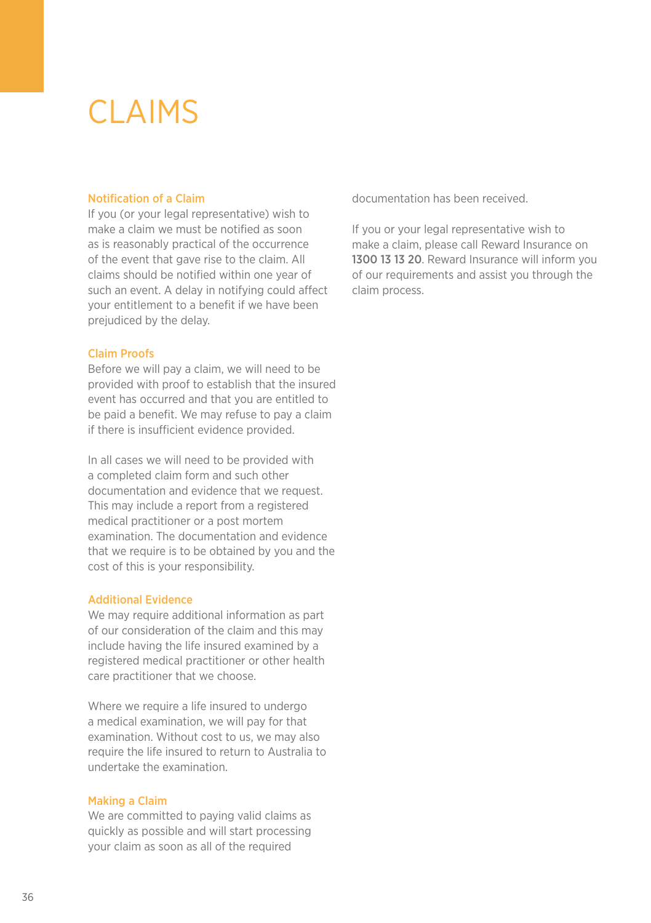### CLAIMS

#### Notification of a Claim

If you (or your legal representative) wish to make a claim we must be notified as soon as is reasonably practical of the occurrence of the event that gave rise to the claim. All claims should be notified within one year of such an event. A delay in notifying could affect your entitlement to a benefit if we have been prejudiced by the delay.

#### Claim Proofs

Before we will pay a claim, we will need to be provided with proof to establish that the insured event has occurred and that you are entitled to be paid a benefit. We may refuse to pay a claim if there is insufficient evidence provided.

In all cases we will need to be provided with a completed claim form and such other documentation and evidence that we request. This may include a report from a registered medical practitioner or a post mortem examination. The documentation and evidence that we require is to be obtained by you and the cost of this is your responsibility.

#### Additional Evidence

We may require additional information as part of our consideration of the claim and this may include having the life insured examined by a registered medical practitioner or other health care practitioner that we choose.

Where we require a life insured to undergo a medical examination, we will pay for that examination. Without cost to us, we may also require the life insured to return to Australia to undertake the examination.

#### Making a Claim

We are committed to paying valid claims as quickly as possible and will start processing your claim as soon as all of the required

documentation has been received.

If you or your legal representative wish to make a claim, please call Reward Insurance on 1300 13 13 20. Reward Insurance will inform you of our requirements and assist you through the claim process.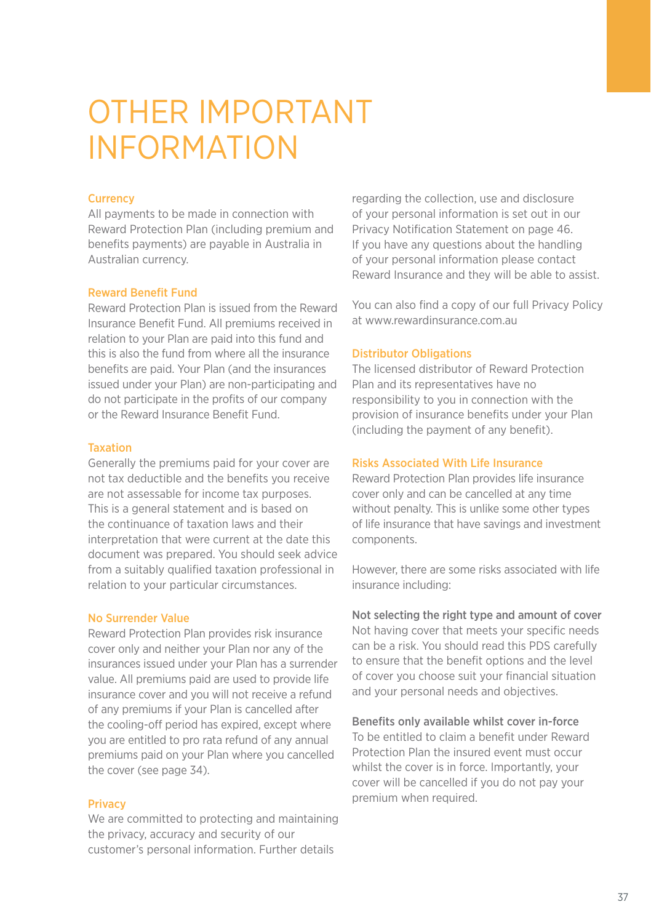### OTHER IMPORTANT INFORMATION

#### **Currency**

All payments to be made in connection with Reward Protection Plan (including premium and benefits payments) are payable in Australia in Australian currency.

#### Reward Benefit Fund

Reward Protection Plan is issued from the Reward Insurance Benefit Fund. All premiums received in relation to your Plan are paid into this fund and this is also the fund from where all the insurance benefits are paid. Your Plan (and the insurances issued under your Plan) are non-participating and do not participate in the profits of our company or the Reward Insurance Benefit Fund.

#### Taxation

Generally the premiums paid for your cover are not tax deductible and the benefits you receive are not assessable for income tax purposes. This is a general statement and is based on the continuance of taxation laws and their interpretation that were current at the date this document was prepared. You should seek advice from a suitably qualified taxation professional in relation to your particular circumstances.

#### No Surrender Value

Reward Protection Plan provides risk insurance cover only and neither your Plan nor any of the insurances issued under your Plan has a surrender value. All premiums paid are used to provide life insurance cover and you will not receive a refund of any premiums if your Plan is cancelled after the cooling-off period has expired, except where you are entitled to pro rata refund of any annual premiums paid on your Plan where you cancelled the cover (see page 34).

#### Privacy

We are committed to protecting and maintaining the privacy, accuracy and security of our customer's personal information. Further details

regarding the collection, use and disclosure of your personal information is set out in our Privacy Notification Statement on page 46. If you have any questions about the handling of your personal information please contact Reward Insurance and they will be able to assist.

You can also find a copy of our full Privacy Policy at www.rewardinsurance.com.au.

#### Distributor Obligations

The licensed distributor of Reward Protection Plan and its representatives have no responsibility to you in connection with the provision of insurance benefits under your Plan (including the payment of any benefit).

#### Risks Associated With Life Insurance

Reward Protection Plan provides life insurance cover only and can be cancelled at any time without penalty. This is unlike some other types of life insurance that have savings and investment components.

However, there are some risks associated with life insurance including:

Not selecting the right type and amount of cover Not having cover that meets your specific needs can be a risk. You should read this PDS carefully to ensure that the benefit options and the level of cover you choose suit your financial situation and your personal needs and objectives.

#### Benefits only available whilst cover in-force

To be entitled to claim a benefit under Reward Protection Plan the insured event must occur whilst the cover is in force. Importantly, your cover will be cancelled if you do not pay your premium when required.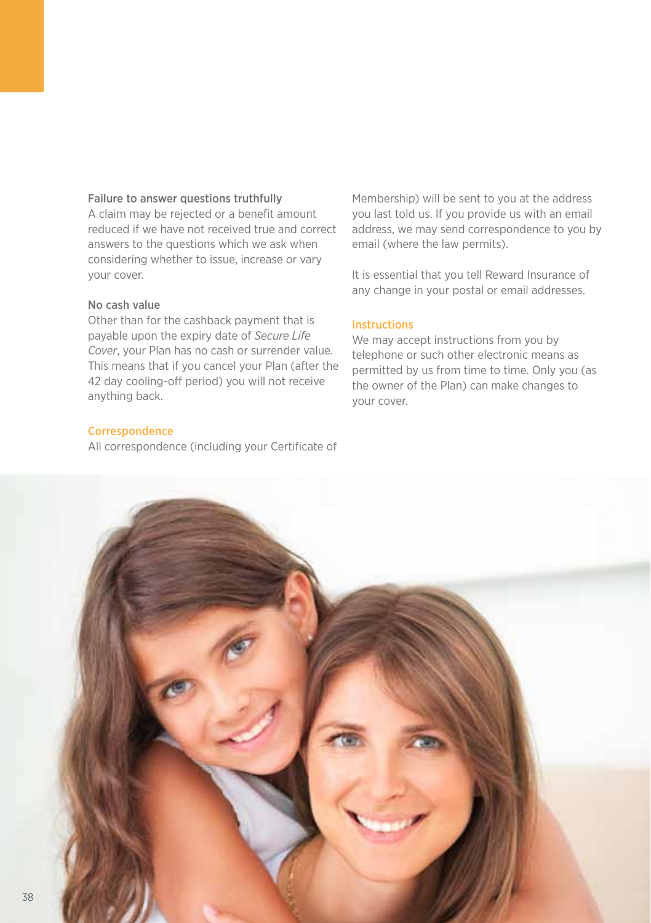#### Failure to answer questions truthfully

A claim may be rejected or a benefit amount reduced if we have not received true and correct answers to the questions which we ask when considering whether to issue, increase or vary your cover.

#### No cash value

Other than for the cashback payment that is payable upon the expiry date of *Secure Life Cover*, your Plan has no cash or surrender value. This means that if you cancel your Plan (after the 42 day cooling-off period) you will not receive anything back.

#### **Correspondence**

All correspondence (including your Certificate of

Membership) will be sent to you at the address you last told us. If you provide us with an email address, we may send correspondence to you by email (where the law permits).

It is essential that you tell Reward Insurance of any change in your postal or email addresses.

#### Instructions

We may accept instructions from you by telephone or such other electronic means as permitted by us from time to time. Only you (as the owner of the Plan) can make changes to your cover.

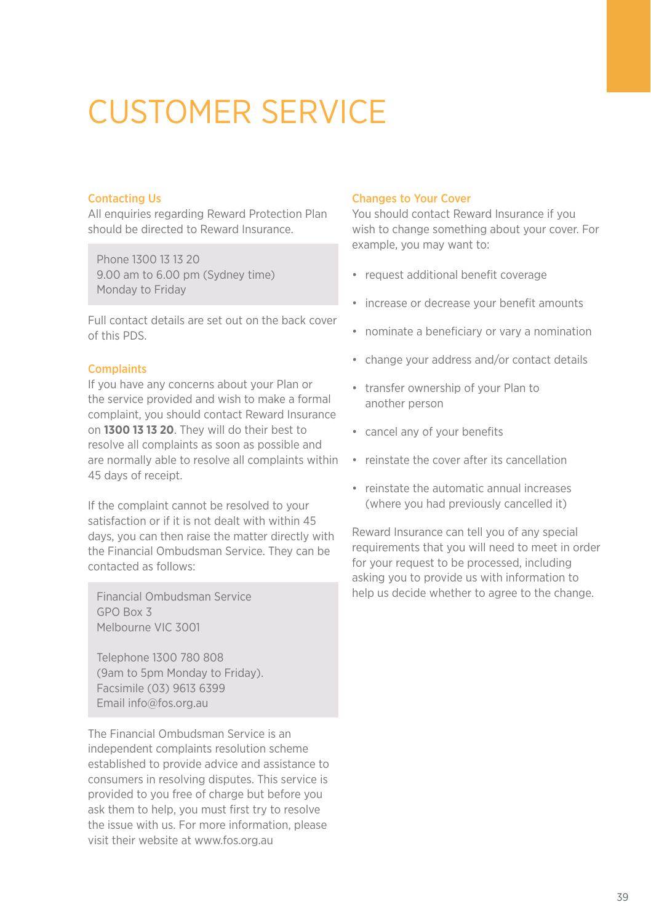# CUSTOMER SERVICE

#### Contacting Us

All enquiries regarding Reward Protection Plan should be directed to Reward Insurance.

Phone 1300 13 13 20 9.00 am to 6.00 pm (Sydney time) Monday to Friday

Full contact details are set out on the back cover of this PDS.

#### **Complaints**

If you have any concerns about your Plan or the service provided and wish to make a formal complaint, you should contact Reward Insurance on **1300 13 13 20**. They will do their best to resolve all complaints as soon as possible and are normally able to resolve all complaints within 45 days of receipt.

If the complaint cannot be resolved to your satisfaction or if it is not dealt with within 45 days, you can then raise the matter directly with the Financial Ombudsman Service. They can be contacted as follows:

Financial Ombudsman Service GPO Box 3 Melbourne VIC 3001

Telephone 1300 780 808 (9am to 5pm Monday to Friday). Facsimile (03) 9613 6399 Email info@fos.org.au

The Financial Ombudsman Service is an independent complaints resolution scheme established to provide advice and assistance to consumers in resolving disputes. This service is provided to you free of charge but before you ask them to help, you must first try to resolve the issue with us. For more information, please visit their website at www.fos.org.au

#### Changes to Your Cover

You should contact Reward Insurance if you wish to change something about your cover. For example, you may want to:

- request additional benefit coverage
- increase or decrease your benefit amounts
- nominate a beneficiary or vary a nomination
- change your address and/or contact details
- transfer ownership of your Plan to another person
- cancel any of your benefits
- reinstate the cover after its cancellation
- reinstate the automatic annual increases (where you had previously cancelled it)

Reward Insurance can tell you of any special requirements that you will need to meet in order for your request to be processed, including asking you to provide us with information to help us decide whether to agree to the change.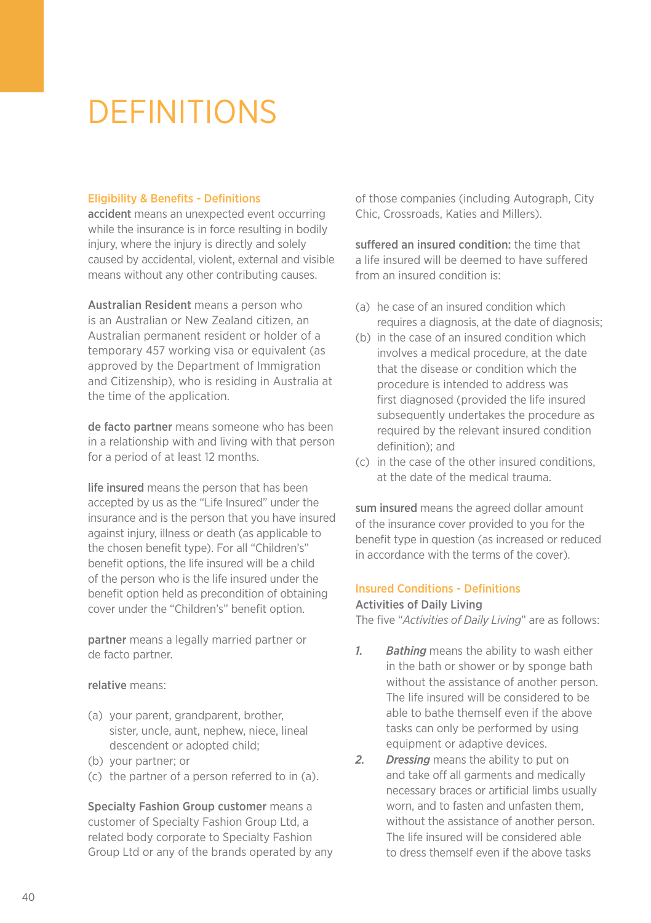### **DEFINITIONS**

#### Eligibility & Benefits - Definitions

accident means an unexpected event occurring while the insurance is in force resulting in bodily injury, where the injury is directly and solely caused by accidental, violent, external and visible means without any other contributing causes.

Australian Resident means a person who is an Australian or New Zealand citizen, an Australian permanent resident or holder of a temporary 457 working visa or equivalent (as approved by the Department of Immigration and Citizenship), who is residing in Australia at the time of the application.

de facto partner means someone who has been in a relationship with and living with that person for a period of at least 12 months.

life insured means the person that has been accepted by us as the "Life Insured" under the insurance and is the person that you have insured against injury, illness or death (as applicable to the chosen benefit type). For all "Children's" benefit options, the life insured will be a child of the person who is the life insured under the benefit option held as precondition of obtaining cover under the "Children's" benefit option.

partner means a legally married partner or de facto partner.

#### relative means:

- (a) your parent, grandparent, brother, sister, uncle, aunt, nephew, niece, lineal descendent or adopted child;
- (b) your partner; or
- (c) the partner of a person referred to in (a).

Specialty Fashion Group customer means a customer of Specialty Fashion Group Ltd, a related body corporate to Specialty Fashion Group Ltd or any of the brands operated by any of those companies (including Autograph, City Chic, Crossroads, Katies and Millers).

suffered an insured condition: the time that a life insured will be deemed to have suffered from an insured condition is:

- (a) he case of an insured condition which requires a diagnosis, at the date of diagnosis;
- (b) in the case of an insured condition which involves a medical procedure, at the date that the disease or condition which the procedure is intended to address was first diagnosed (provided the life insured subsequently undertakes the procedure as required by the relevant insured condition definition); and
- (c) in the case of the other insured conditions, at the date of the medical trauma.

sum insured means the agreed dollar amount of the insurance cover provided to you for the benefit type in question (as increased or reduced in accordance with the terms of the cover).

#### Insured Conditions - Definitions

#### Activities of Daily Living

The five "*Activities of Daily Living*" are as follows:

- *1. Bathing* means the ability to wash either in the bath or shower or by sponge bath without the assistance of another person. The life insured will be considered to be able to bathe themself even if the above tasks can only be performed by using equipment or adaptive devices.
- *2. Dressing* means the ability to put on and take off all garments and medically necessary braces or artificial limbs usually worn, and to fasten and unfasten them, without the assistance of another person. The life insured will be considered able to dress themself even if the above tasks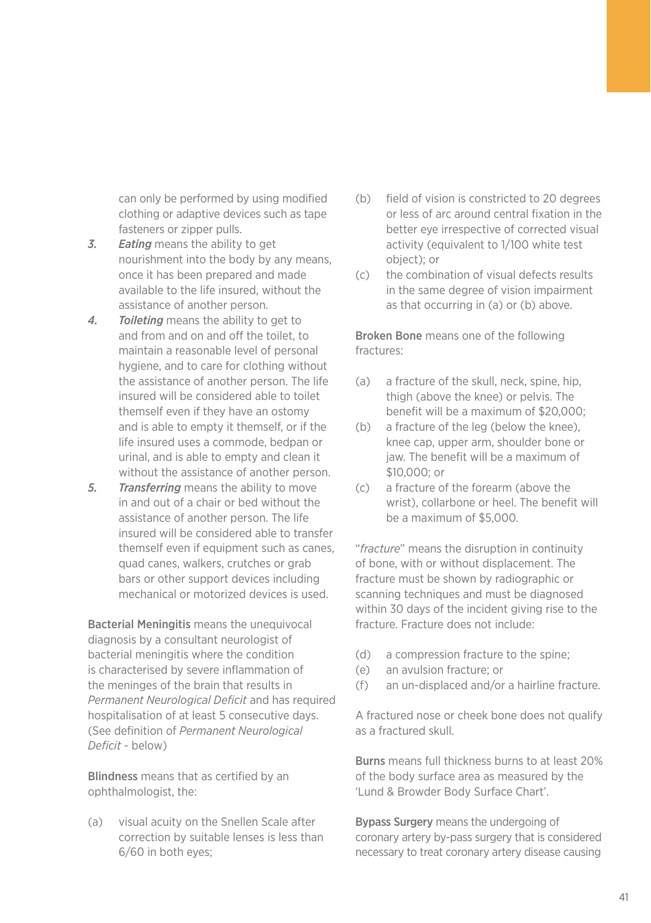can only be performed by using modified clothing or adaptive devices such as tape fasteners or zipper pulls.

- *3. Eating* means the ability to get nourishment into the body by any means, once it has been prepared and made available to the life insured, without the assistance of another person.
- *4. Toileting* means the ability to get to and from and on and off the toilet, to maintain a reasonable level of personal hygiene, and to care for clothing without the assistance of another person. The life insured will be considered able to toilet themself even if they have an ostomy and is able to empty it themself, or if the life insured uses a commode, bedpan or urinal, and is able to empty and clean it without the assistance of another person.
- *5. Transferring* means the ability to move in and out of a chair or bed without the assistance of another person. The life insured will be considered able to transfer themself even if equipment such as canes, quad canes, walkers, crutches or grab bars or other support devices including mechanical or motorized devices is used.

Bacterial Meningitis means the unequivocal diagnosis by a consultant neurologist of bacterial meningitis where the condition is characterised by severe inflammation of the meninges of the brain that results in *Permanent Neurological Deficit* and has required hospitalisation of at least 5 consecutive days. (See definition of *Permanent Neurological Deficit* - below)

Blindness means that as certified by an ophthalmologist, the:

(a) visual acuity on the Snellen Scale after correction by suitable lenses is less than 6/60 in both eyes;

- (b) field of vision is constricted to 20 degrees or less of arc around central fixation in the better eye irrespective of corrected visual activity (equivalent to 1/100 white test object); or
- (c) the combination of visual defects results in the same degree of vision impairment as that occurring in (a) or (b) above.

Broken Bone means one of the following fractures:

- (a) a fracture of the skull, neck, spine, hip, thigh (above the knee) or pelvis. The benefit will be a maximum of \$20,000;
- (b) a fracture of the leg (below the knee), knee cap, upper arm, shoulder bone or jaw. The benefit will be a maximum of \$10,000; or
- (c) a fracture of the forearm (above the wrist), collarbone or heel. The benefit will be a maximum of \$5,000.

"*fracture*" means the disruption in continuity of bone, with or without displacement. The fracture must be shown by radiographic or scanning techniques and must be diagnosed within 30 days of the incident giving rise to the fracture. Fracture does not include:

- (d) a compression fracture to the spine;
- (e) an avulsion fracture; or
- (f) an un-displaced and/or a hairline fracture.

A fractured nose or cheek bone does not qualify as a fractured skull.

Burns means full thickness burns to at least 20% of the body surface area as measured by the 'Lund & Browder Body Surface Chart'.

Bypass Surgery means the undergoing of coronary artery by-pass surgery that is considered necessary to treat coronary artery disease causing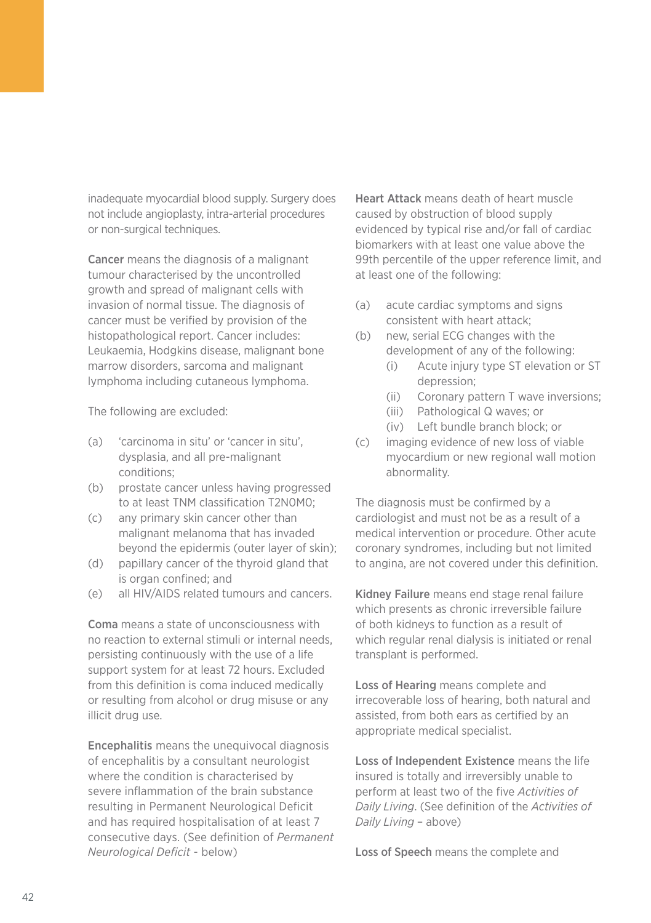inadequate myocardial blood supply. Surgery does not include angioplasty, intra-arterial procedures or non-surgical techniques.

Cancer means the diagnosis of a malignant tumour characterised by the uncontrolled growth and spread of malignant cells with invasion of normal tissue. The diagnosis of cancer must be verified by provision of the histopathological report. Cancer includes: Leukaemia, Hodgkins disease, malignant bone marrow disorders, sarcoma and malignant lymphoma including cutaneous lymphoma.

The following are excluded:

- (a) 'carcinoma in situ' or 'cancer in situ', dysplasia, and all pre-malignant conditions;
- (b) prostate cancer unless having progressed to at least TNM classification T2N0M0;
- (c) any primary skin cancer other than malignant melanoma that has invaded beyond the epidermis (outer layer of skin);
- (d) papillary cancer of the thyroid gland that is organ confined; and
- (e) all HIV/AIDS related tumours and cancers.

Coma means a state of unconsciousness with no reaction to external stimuli or internal needs, persisting continuously with the use of a life support system for at least 72 hours. Excluded from this definition is coma induced medically or resulting from alcohol or drug misuse or any illicit drug use.

Encephalitis means the unequivocal diagnosis of encephalitis by a consultant neurologist where the condition is characterised by severe inflammation of the brain substance resulting in Permanent Neurological Deficit and has required hospitalisation of at least 7 consecutive days. (See definition of *Permanent Neurological Deficit* - below)

Heart Attack means death of heart muscle caused by obstruction of blood supply evidenced by typical rise and/or fall of cardiac biomarkers with at least one value above the 99th percentile of the upper reference limit, and at least one of the following:

- (a) acute cardiac symptoms and signs consistent with heart attack;
- (b) new, serial ECG changes with the development of any of the following:
	- (i) Acute injury type ST elevation or ST depression;
	- (ii) Coronary pattern T wave inversions;
	- (iii) Pathological Q waves; or
	- (iv) Left bundle branch block; or
- (c) imaging evidence of new loss of viable myocardium or new regional wall motion abnormality.

The diagnosis must be confirmed by a cardiologist and must not be as a result of a medical intervention or procedure. Other acute coronary syndromes, including but not limited to angina, are not covered under this definition.

Kidney Failure means end stage renal failure which presents as chronic irreversible failure of both kidneys to function as a result of which regular renal dialysis is initiated or renal transplant is performed.

Loss of Hearing means complete and irrecoverable loss of hearing, both natural and assisted, from both ears as certified by an appropriate medical specialist.

Loss of Independent Existence means the life insured is totally and irreversibly unable to perform at least two of the five *Activities of Daily Living*. (See definition of the *Activities of Daily Living* – above)

Loss of Speech means the complete and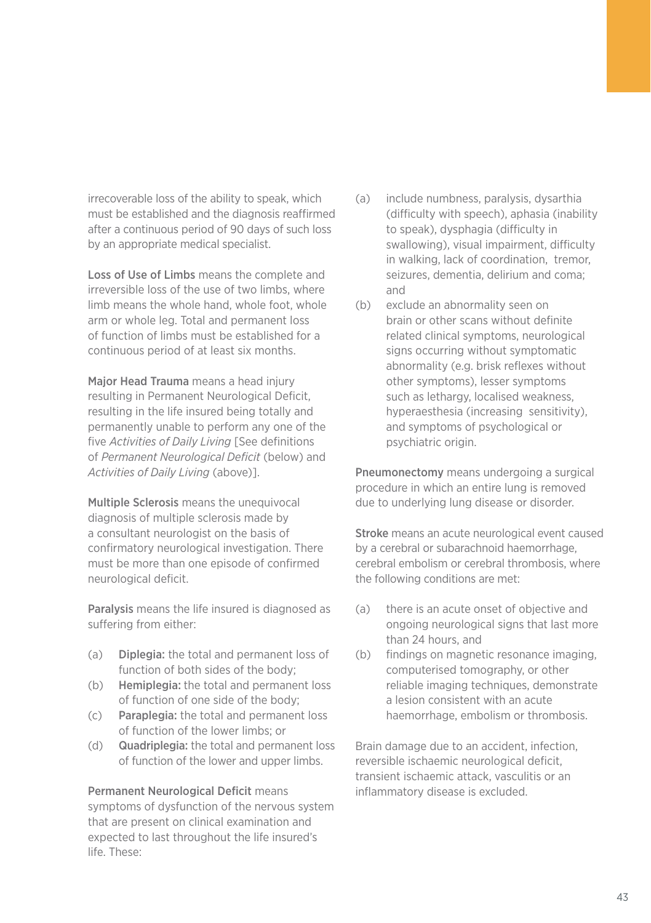irrecoverable loss of the ability to speak, which must be established and the diagnosis reaffirmed after a continuous period of 90 days of such loss by an appropriate medical specialist.

Loss of Use of Limbs means the complete and irreversible loss of the use of two limbs, where limb means the whole hand, whole foot, whole arm or whole leg. Total and permanent loss of function of limbs must be established for a continuous period of at least six months.

Major Head Trauma means a head injury resulting in Permanent Neurological Deficit, resulting in the life insured being totally and permanently unable to perform any one of the five *Activities of Daily Living* [See definitions of *Permanent Neurological Deficit* (below) and *Activities of Daily Living* (above)].

Multiple Sclerosis means the unequivocal diagnosis of multiple sclerosis made by a consultant neurologist on the basis of confirmatory neurological investigation. There must be more than one episode of confirmed neurological deficit.

Paralysis means the life insured is diagnosed as suffering from either:

- (a) Diplegia: the total and permanent loss of function of both sides of the body;
- (b) Hemiplegia: the total and permanent loss of function of one side of the body;
- (c) Paraplegia: the total and permanent loss of function of the lower limbs; or
- (d) Quadriplegia: the total and permanent loss of function of the lower and upper limbs.

Permanent Neurological Deficit means symptoms of dysfunction of the nervous system that are present on clinical examination and expected to last throughout the life insured's life. These:

- (a) include numbness, paralysis, dysarthia (difficulty with speech), aphasia (inability to speak), dysphagia (difficulty in swallowing), visual impairment, difficulty in walking, lack of coordination, tremor, seizures, dementia, delirium and coma; and
- (b) exclude an abnormality seen on brain or other scans without definite related clinical symptoms, neurological signs occurring without symptomatic abnormality (e.g. brisk reflexes without other symptoms), lesser symptoms such as lethargy, localised weakness, hyperaesthesia (increasing sensitivity), and symptoms of psychological or psychiatric origin.

Pneumonectomy means undergoing a surgical procedure in which an entire lung is removed due to underlying lung disease or disorder.

Stroke means an acute neurological event caused by a cerebral or subarachnoid haemorrhage, cerebral embolism or cerebral thrombosis, where the following conditions are met:

- (a) there is an acute onset of objective and ongoing neurological signs that last more than 24 hours, and
- (b) findings on magnetic resonance imaging, computerised tomography, or other reliable imaging techniques, demonstrate a lesion consistent with an acute haemorrhage, embolism or thrombosis.

Brain damage due to an accident, infection, reversible ischaemic neurological deficit, transient ischaemic attack, vasculitis or an inflammatory disease is excluded.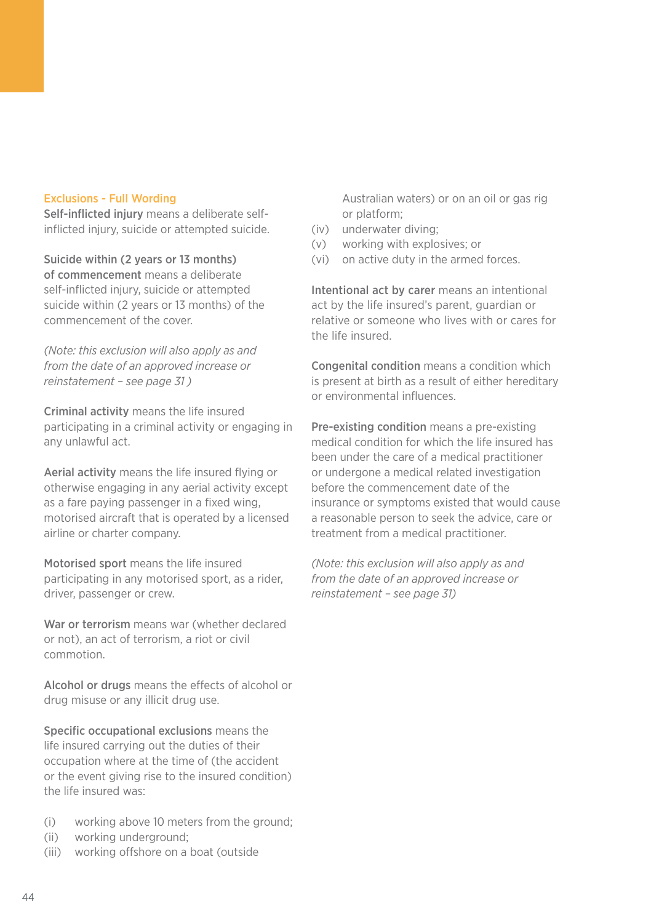#### Exclusions - Full Wording

Self-inflicted injury means a deliberate selfinflicted injury, suicide or attempted suicide.

Suicide within (2 years or 13 months) of commencement means a deliberate self-inflicted injury, suicide or attempted suicide within (2 years or 13 months) of the commencement of the cover.

*(Note: this exclusion will also apply as and from the date of an approved increase or reinstatement – see page 31 )*

Criminal activity means the life insured participating in a criminal activity or engaging in any unlawful act.

Aerial activity means the life insured flying or otherwise engaging in any aerial activity except as a fare paying passenger in a fixed wing, motorised aircraft that is operated by a licensed airline or charter company.

Motorised sport means the life insured participating in any motorised sport, as a rider, driver, passenger or crew.

War or terrorism means war (whether declared or not), an act of terrorism, a riot or civil commotion.

Alcohol or drugs means the effects of alcohol or drug misuse or any illicit drug use.

Specific occupational exclusions means the life insured carrying out the duties of their occupation where at the time of (the accident or the event giving rise to the insured condition) the life insured was:

- (i) working above 10 meters from the ground;
- (ii) working underground;
- (iii) working offshore on a boat (outside

Australian waters) or on an oil or gas rig or platform;

- (iv) underwater diving;
- (v) working with explosives; or
- (vi) on active duty in the armed forces.

Intentional act by carer means an intentional act by the life insured's parent, guardian or relative or someone who lives with or cares for the life insured.

Congenital condition means a condition which is present at birth as a result of either hereditary or environmental influences.

Pre-existing condition means a pre-existing medical condition for which the life insured has been under the care of a medical practitioner or undergone a medical related investigation before the commencement date of the insurance or symptoms existed that would cause a reasonable person to seek the advice, care or treatment from a medical practitioner.

*(Note: this exclusion will also apply as and from the date of an approved increase or reinstatement – see page 31)*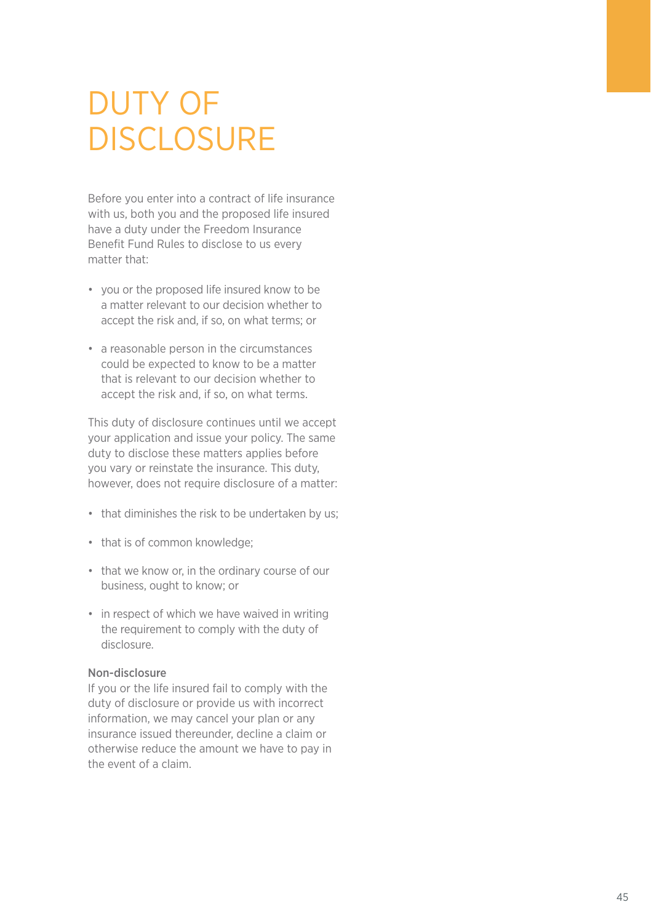### Duty of **DISCLOSURE**

Before you enter into a contract of life insurance with us, both you and the proposed life insured have a duty under the Freedom Insurance Benefit Fund Rules to disclose to us every matter that:

- you or the proposed life insured know to be a matter relevant to our decision whether to accept the risk and, if so, on what terms; or
- a reasonable person in the circumstances could be expected to know to be a matter that is relevant to our decision whether to accept the risk and, if so, on what terms.

This duty of disclosure continues until we accept your application and issue your policy. The same duty to disclose these matters applies before you vary or reinstate the insurance. This duty, however, does not require disclosure of a matter:

- that diminishes the risk to be undertaken by us;
- that is of common knowledge;
- that we know or, in the ordinary course of our business, ought to know; or
- in respect of which we have waived in writing the requirement to comply with the duty of disclosure.

#### Non-disclosure

If you or the life insured fail to comply with the duty of disclosure or provide us with incorrect information, we may cancel your plan or any insurance issued thereunder, decline a claim or otherwise reduce the amount we have to pay in the event of a claim.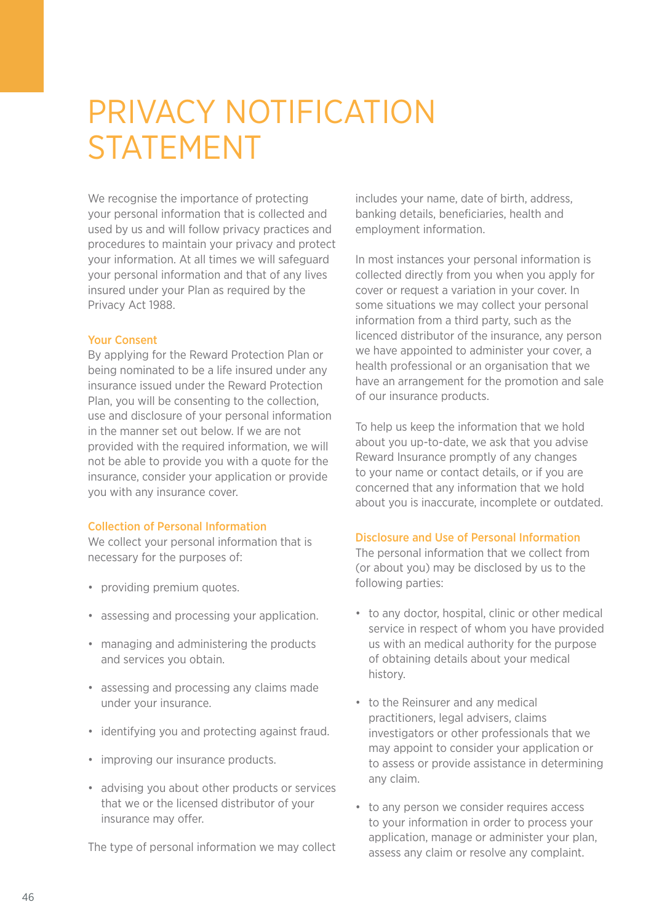### Privacy NOTIFICATION STATEMENT

We recognise the importance of protecting your personal information that is collected and used by us and will follow privacy practices and procedures to maintain your privacy and protect your information. At all times we will safeguard your personal information and that of any lives insured under your Plan as required by the Privacy Act 1988.

#### Your Consent

By applying for the Reward Protection Plan or being nominated to be a life insured under any insurance issued under the Reward Protection Plan, you will be consenting to the collection, use and disclosure of your personal information in the manner set out below. If we are not provided with the required information, we will not be able to provide you with a quote for the insurance, consider your application or provide you with any insurance cover.

#### Collection of Personal Information

We collect your personal information that is necessary for the purposes of:

- providing premium quotes.
- assessing and processing your application.
- managing and administering the products and services you obtain.
- assessing and processing any claims made under your insurance.
- identifying you and protecting against fraud.
- improving our insurance products.
- advising you about other products or services that we or the licensed distributor of your insurance may offer.

The type of personal information we may collect

includes your name, date of birth, address, banking details, beneficiaries, health and employment information.

In most instances your personal information is collected directly from you when you apply for cover or request a variation in your cover. In some situations we may collect your personal information from a third party, such as the licenced distributor of the insurance, any person we have appointed to administer your cover, a health professional or an organisation that we have an arrangement for the promotion and sale of our insurance products.

To help us keep the information that we hold about you up-to-date, we ask that you advise Reward Insurance promptly of any changes to your name or contact details, or if you are concerned that any information that we hold about you is inaccurate, incomplete or outdated.

#### Disclosure and Use of Personal Information

The personal information that we collect from (or about you) may be disclosed by us to the following parties:

- to any doctor, hospital, clinic or other medical service in respect of whom you have provided us with an medical authority for the purpose of obtaining details about your medical history.
- to the Reinsurer and any medical practitioners, legal advisers, claims investigators or other professionals that we may appoint to consider your application or to assess or provide assistance in determining any claim.
- to any person we consider requires access to your information in order to process your application, manage or administer your plan, assess any claim or resolve any complaint.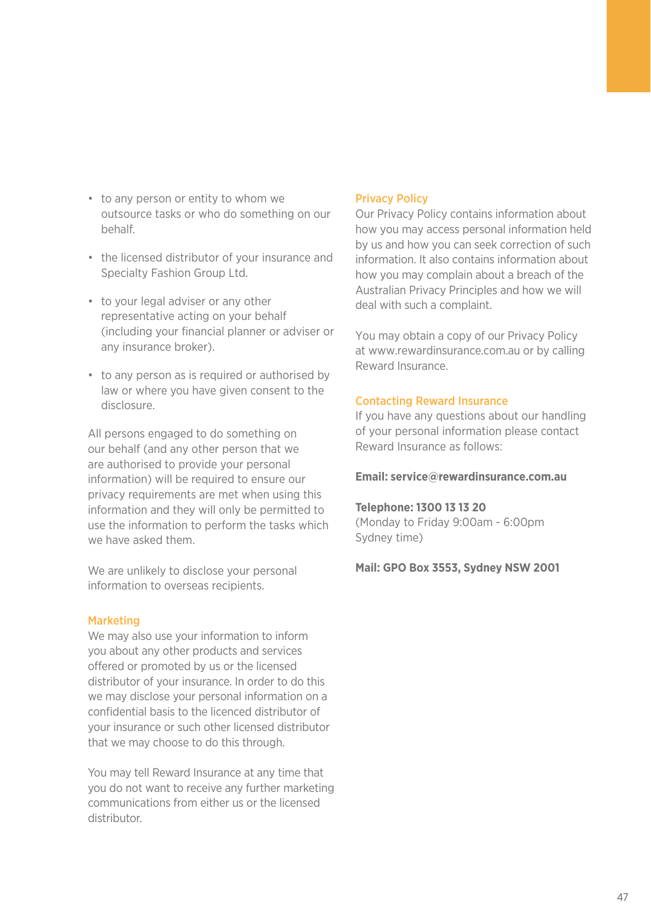- to any person or entity to whom we outsource tasks or who do something on our behalf.
- the licensed distributor of your insurance and Specialty Fashion Group Ltd.
- to your legal adviser or any other representative acting on your behalf (including your financial planner or adviser or any insurance broker).
- to any person as is required or authorised by law or where you have given consent to the disclosure.

All persons engaged to do something on our behalf (and any other person that we are authorised to provide your personal information) will be required to ensure our privacy requirements are met when using this information and they will only be permitted to use the information to perform the tasks which we have asked them

We are unlikely to disclose your personal information to overseas recipients.

#### Marketing

We may also use your information to inform you about any other products and services offered or promoted by us or the licensed distributor of your insurance. In order to do this we may disclose your personal information on a confidential basis to the licenced distributor of your insurance or such other licensed distributor that we may choose to do this through.

You may tell Reward Insurance at any time that you do not want to receive any further marketing communications from either us or the licensed distributor.

#### Privacy Policy

Our Privacy Policy contains information about how you may access personal information held by us and how you can seek correction of such information. It also contains information about how you may complain about a breach of the Australian Privacy Principles and how we will deal with such a complaint.

You may obtain a copy of our Privacy Policy at www.rewardinsurance.com.au or by calling Reward Insurance.

#### Contacting Reward Insurance

If you have any questions about our handling of your personal information please contact Reward Insurance as follows:

#### **Email: service@rewardinsurance.com.au**

#### **Telephone: 1300 13 13 20**

(Monday to Friday 9:00am - 6:00pm Sydney time)

#### **Mail: GPO Box 3553, Sydney NSW 2001**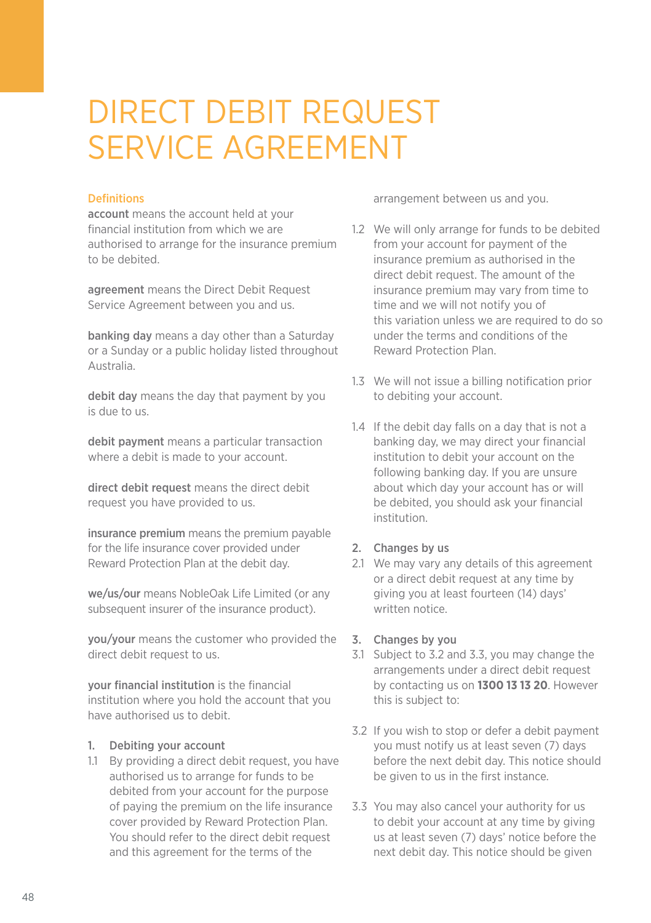### DIRECT DEBIT REQUEST SERVICE AGREEMENT

#### Definitions

account means the account held at your financial institution from which we are authorised to arrange for the insurance premium to be debited.

agreement means the Direct Debit Request Service Agreement between you and us.

banking day means a day other than a Saturday or a Sunday or a public holiday listed throughout Australia.

debit day means the day that payment by you is due to us.

debit payment means a particular transaction where a debit is made to your account.

direct debit request means the direct debit request you have provided to us.

insurance premium means the premium payable for the life insurance cover provided under Reward Protection Plan at the debit day.

we/us/our means NobleOak Life Limited (or any subsequent insurer of the insurance product).

you/your means the customer who provided the direct debit request to us.

your financial institution is the financial institution where you hold the account that you have authorised us to debit.

### 1. Debiting your account

1.1 By providing a direct debit request, you have authorised us to arrange for funds to be debited from your account for the purpose of paying the premium on the life insurance cover provided by Reward Protection Plan. You should refer to the direct debit request and this agreement for the terms of the

arrangement between us and you.

- 1.2 We will only arrange for funds to be debited from your account for payment of the insurance premium as authorised in the direct debit request. The amount of the insurance premium may vary from time to time and we will not notify you of this variation unless we are required to do so under the terms and conditions of the Reward Protection Plan.
- 1.3 We will not issue a billing notification prior to debiting your account.
- 1.4 If the debit day falls on a day that is not a banking day, we may direct your financial institution to debit your account on the following banking day. If you are unsure about which day your account has or will be debited, you should ask your financial institution.

#### 2. Changes by us

2.1 We may vary any details of this agreement or a direct debit request at any time by giving you at least fourteen (14) days' written notice.

#### 3. Changes by you

- 3.1 Subject to 3.2 and 3.3, you may change the arrangements under a direct debit request by contacting us on **1300 13 13 20**. However this is subject to:
- 3.2 If you wish to stop or defer a debit payment you must notify us at least seven (7) days before the next debit day. This notice should be given to us in the first instance.
- 3.3 You may also cancel your authority for us to debit your account at any time by giving us at least seven (7) days' notice before the next debit day. This notice should be given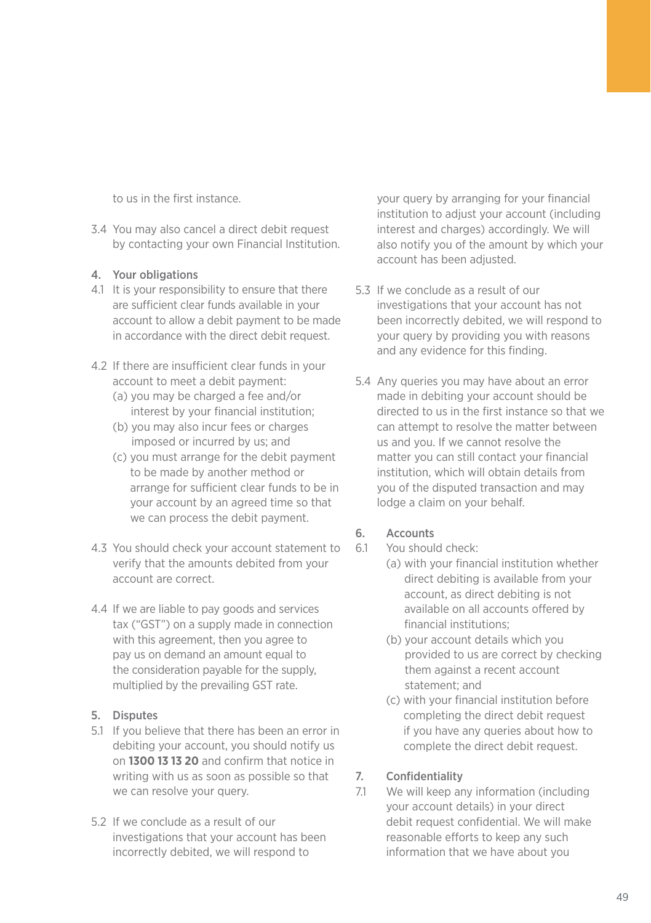to us in the first instance.

3.4 You may also cancel a direct debit request by contacting your own Financial Institution.

#### 4. Your obligations

- 4.1 It is your responsibility to ensure that there are sufficient clear funds available in your account to allow a debit payment to be made in accordance with the direct debit request.
- 4.2 If there are insufficient clear funds in your account to meet a debit payment:
	- (a) you may be charged a fee and/or interest by your financial institution;
	- (b) you may also incur fees or charges imposed or incurred by us; and
	- (c) you must arrange for the debit payment to be made by another method or arrange for sufficient clear funds to be in your account by an agreed time so that we can process the debit payment.
- 4.3 You should check your account statement to verify that the amounts debited from your account are correct.
- 4.4 If we are liable to pay goods and services tax ("GST") on a supply made in connection with this agreement, then you agree to pay us on demand an amount equal to the consideration payable for the supply, multiplied by the prevailing GST rate.
- 5. Disputes
- 5.1 If you believe that there has been an error in debiting your account, you should notify us on **1300 13 13 20** and confirm that notice in writing with us as soon as possible so that we can resolve your query.
- 5.2 If we conclude as a result of our investigations that your account has been incorrectly debited, we will respond to

your query by arranging for your financial institution to adjust your account (including interest and charges) accordingly. We will also notify you of the amount by which your account has been adjusted.

- 5.3 If we conclude as a result of our investigations that your account has not been incorrectly debited, we will respond to your query by providing you with reasons and any evidence for this finding.
- 5.4 Any queries you may have about an error made in debiting your account should be directed to us in the first instance so that we can attempt to resolve the matter between us and you. If we cannot resolve the matter you can still contact your financial institution, which will obtain details from you of the disputed transaction and may lodge a claim on your behalf.

#### 6. Accounts

- 6.1 You should check:
	- (a) with your financial institution whether direct debiting is available from your account, as direct debiting is not available on all accounts offered by financial institutions;
	- (b) your account details which you provided to us are correct by checking them against a recent account statement; and
	- (c) with your financial institution before completing the direct debit request if you have any queries about how to complete the direct debit request.

### 7. Confidentiality

7.1 We will keep any information (including your account details) in your direct debit request confidential. We will make reasonable efforts to keep any such information that we have about you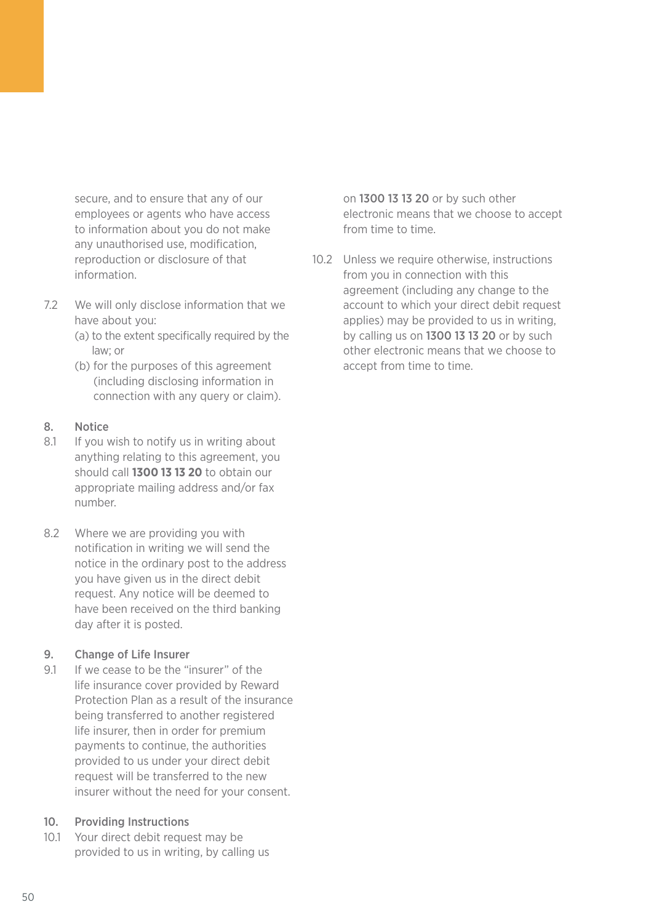secure, and to ensure that any of our employees or agents who have access to information about you do not make any unauthorised use, modification, reproduction or disclosure of that information.

- 7.2 We will only disclose information that we have about you:
	- (a) to the extent specifically required by the law; or
	- (b) for the purposes of this agreement (including disclosing information in connection with any query or claim).

#### 8. Notice

- 8.1 If you wish to notify us in writing about anything relating to this agreement, you should call **1300 13 13 20** to obtain our appropriate mailing address and/or fax number.
- 8.2 Where we are providing you with notification in writing we will send the notice in the ordinary post to the address you have given us in the direct debit request. Any notice will be deemed to have been received on the third banking day after it is posted.

#### 9. Change of Life Insurer

9.1 If we cease to be the "insurer" of the life insurance cover provided by Reward Protection Plan as a result of the insurance being transferred to another registered life insurer, then in order for premium payments to continue, the authorities provided to us under your direct debit request will be transferred to the new insurer without the need for your consent.

#### 10. Providing Instructions

10.1 Your direct debit request may be provided to us in writing, by calling us on 1300 13 13 20 or by such other electronic means that we choose to accept from time to time.

10.2 Unless we require otherwise, instructions from you in connection with this agreement (including any change to the account to which your direct debit request applies) may be provided to us in writing, by calling us on 1300 13 13 20 or by such other electronic means that we choose to accept from time to time.